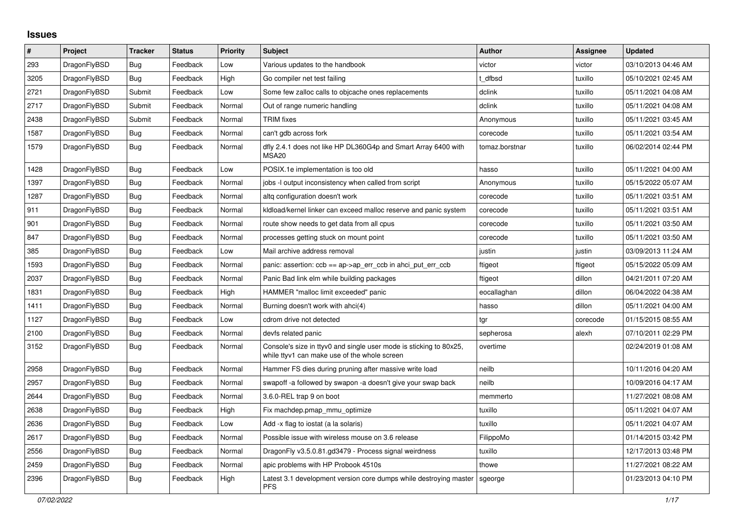## **Issues**

| $\vert$ # | Project      | <b>Tracker</b> | <b>Status</b> | <b>Priority</b> | <b>Subject</b>                                                                                                     | <b>Author</b>  | Assignee | <b>Updated</b>      |
|-----------|--------------|----------------|---------------|-----------------|--------------------------------------------------------------------------------------------------------------------|----------------|----------|---------------------|
| 293       | DragonFlyBSD | Bug            | Feedback      | Low             | Various updates to the handbook                                                                                    | victor         | victor   | 03/10/2013 04:46 AM |
| 3205      | DragonFlyBSD | Bug            | Feedback      | High            | Go compiler net test failing                                                                                       | t dfbsd        | tuxillo  | 05/10/2021 02:45 AM |
| 2721      | DragonFlyBSD | Submit         | Feedback      | Low             | Some few zalloc calls to objcache ones replacements                                                                | dclink         | tuxillo  | 05/11/2021 04:08 AM |
| 2717      | DragonFlyBSD | Submit         | Feedback      | Normal          | Out of range numeric handling                                                                                      | dclink         | tuxillo  | 05/11/2021 04:08 AM |
| 2438      | DragonFlyBSD | Submit         | Feedback      | Normal          | <b>TRIM</b> fixes                                                                                                  | Anonymous      | tuxillo  | 05/11/2021 03:45 AM |
| 1587      | DragonFlyBSD | <b>Bug</b>     | Feedback      | Normal          | can't gdb across fork                                                                                              | corecode       | tuxillo  | 05/11/2021 03:54 AM |
| 1579      | DragonFlyBSD | Bug            | Feedback      | Normal          | dfly 2.4.1 does not like HP DL360G4p and Smart Array 6400 with<br>MSA <sub>20</sub>                                | tomaz.borstnar | tuxillo  | 06/02/2014 02:44 PM |
| 1428      | DragonFlyBSD | <b>Bug</b>     | Feedback      | Low             | POSIX.1e implementation is too old                                                                                 | hasso          | tuxillo  | 05/11/2021 04:00 AM |
| 1397      | DragonFlyBSD | <b>Bug</b>     | Feedback      | Normal          | jobs -I output inconsistency when called from script                                                               | Anonymous      | tuxillo  | 05/15/2022 05:07 AM |
| 1287      | DragonFlyBSD | Bug            | Feedback      | Normal          | altg configuration doesn't work                                                                                    | corecode       | tuxillo  | 05/11/2021 03:51 AM |
| 911       | DragonFlyBSD | Bug            | Feedback      | Normal          | kidload/kernel linker can exceed malloc reserve and panic system                                                   | corecode       | tuxillo  | 05/11/2021 03:51 AM |
| 901       | DragonFlyBSD | <b>Bug</b>     | Feedback      | Normal          | route show needs to get data from all cpus                                                                         | corecode       | tuxillo  | 05/11/2021 03:50 AM |
| 847       | DragonFlyBSD | Bug            | Feedback      | Normal          | processes getting stuck on mount point                                                                             | corecode       | tuxillo  | 05/11/2021 03:50 AM |
| 385       | DragonFlyBSD | <b>Bug</b>     | Feedback      | Low             | Mail archive address removal                                                                                       | justin         | justin   | 03/09/2013 11:24 AM |
| 1593      | DragonFlyBSD | <b>Bug</b>     | Feedback      | Normal          | panic: assertion: $ccb = ap$ ->ap_err_ccb in ahci_put_err_ccb                                                      | ftigeot        | ftigeot  | 05/15/2022 05:09 AM |
| 2037      | DragonFlyBSD | Bug            | Feedback      | Normal          | Panic Bad link elm while building packages                                                                         | ftigeot        | dillon   | 04/21/2011 07:20 AM |
| 1831      | DragonFlyBSD | Bug            | Feedback      | High            | HAMMER "malloc limit exceeded" panic                                                                               | eocallaghan    | dillon   | 06/04/2022 04:38 AM |
| 1411      | DragonFlyBSD | <b>Bug</b>     | Feedback      | Normal          | Burning doesn't work with ahci(4)                                                                                  | hasso          | dillon   | 05/11/2021 04:00 AM |
| 1127      | DragonFlyBSD | <b>Bug</b>     | Feedback      | Low             | cdrom drive not detected                                                                                           | tgr            | corecode | 01/15/2015 08:55 AM |
| 2100      | DragonFlyBSD | Bug            | Feedback      | Normal          | devfs related panic                                                                                                | sepherosa      | alexh    | 07/10/2011 02:29 PM |
| 3152      | DragonFlyBSD | <b>Bug</b>     | Feedback      | Normal          | Console's size in ttyv0 and single user mode is sticking to 80x25,<br>while ttyv1 can make use of the whole screen | overtime       |          | 02/24/2019 01:08 AM |
| 2958      | DragonFlyBSD | Bug            | Feedback      | Normal          | Hammer FS dies during pruning after massive write load                                                             | neilb          |          | 10/11/2016 04:20 AM |
| 2957      | DragonFlyBSD | <b>Bug</b>     | Feedback      | Normal          | swapoff -a followed by swapon -a doesn't give your swap back                                                       | neilb          |          | 10/09/2016 04:17 AM |
| 2644      | DragonFlyBSD | <b>Bug</b>     | Feedback      | Normal          | 3.6.0-REL trap 9 on boot                                                                                           | memmerto       |          | 11/27/2021 08:08 AM |
| 2638      | DragonFlyBSD | Bug            | Feedback      | High            | Fix machdep.pmap_mmu_optimize                                                                                      | tuxillo        |          | 05/11/2021 04:07 AM |
| 2636      | DragonFlyBSD | Bug            | Feedback      | Low             | Add -x flag to iostat (a la solaris)                                                                               | tuxillo        |          | 05/11/2021 04:07 AM |
| 2617      | DragonFlyBSD | Bug            | Feedback      | Normal          | Possible issue with wireless mouse on 3.6 release                                                                  | FilippoMo      |          | 01/14/2015 03:42 PM |
| 2556      | DragonFlyBSD | <b>Bug</b>     | Feedback      | Normal          | DragonFly v3.5.0.81.gd3479 - Process signal weirdness                                                              | tuxillo        |          | 12/17/2013 03:48 PM |
| 2459      | DragonFlyBSD | Bug            | Feedback      | Normal          | apic problems with HP Probook 4510s                                                                                | thowe          |          | 11/27/2021 08:22 AM |
| 2396      | DragonFlyBSD | Bug            | Feedback      | High            | Latest 3.1 development version core dumps while destroying master<br><b>PFS</b>                                    | sgeorge        |          | 01/23/2013 04:10 PM |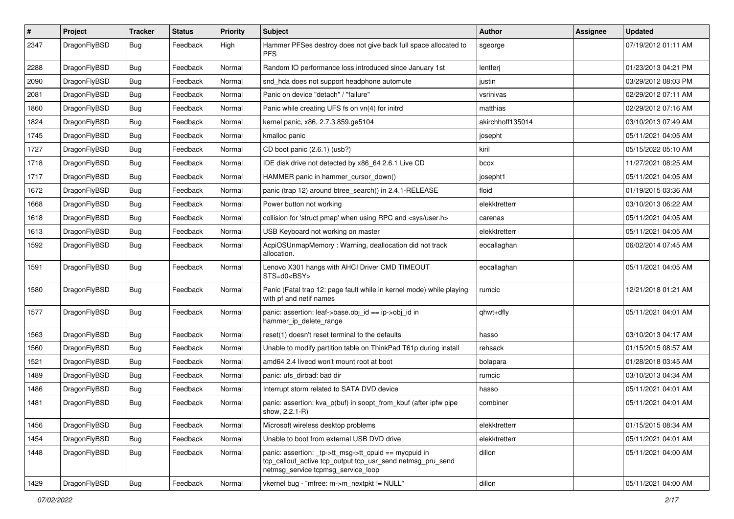| $\vert$ # | Project      | <b>Tracker</b> | <b>Status</b> | <b>Priority</b> | Subject                                                                                                                                                   | Author           | Assignee | <b>Updated</b>      |
|-----------|--------------|----------------|---------------|-----------------|-----------------------------------------------------------------------------------------------------------------------------------------------------------|------------------|----------|---------------------|
| 2347      | DragonFlyBSD | Bug            | Feedback      | High            | Hammer PFSes destroy does not give back full space allocated to<br><b>PFS</b>                                                                             | sgeorge          |          | 07/19/2012 01:11 AM |
| 2288      | DragonFlyBSD | Bug            | Feedback      | Normal          | Random IO performance loss introduced since January 1st                                                                                                   | lentferj         |          | 01/23/2013 04:21 PM |
| 2090      | DragonFlyBSD | Bug            | Feedback      | Normal          | snd_hda does not support headphone automute                                                                                                               | justin           |          | 03/29/2012 08:03 PM |
| 2081      | DragonFlyBSD | <b>Bug</b>     | Feedback      | Normal          | Panic on device "detach" / "failure"                                                                                                                      | vsrinivas        |          | 02/29/2012 07:11 AM |
| 1860      | DragonFlyBSD | <b>Bug</b>     | Feedback      | Normal          | Panic while creating UFS fs on vn(4) for initrd                                                                                                           | matthias         |          | 02/29/2012 07:16 AM |
| 1824      | DragonFlyBSD | Bug            | Feedback      | Normal          | kernel panic, x86, 2.7.3.859.ge5104                                                                                                                       | akirchhoff135014 |          | 03/10/2013 07:49 AM |
| 1745      | DragonFlyBSD | <b>Bug</b>     | Feedback      | Normal          | kmalloc panic                                                                                                                                             | josepht          |          | 05/11/2021 04:05 AM |
| 1727      | DragonFlyBSD | Bug            | Feedback      | Normal          | CD boot panic (2.6.1) (usb?)                                                                                                                              | kiril            |          | 05/15/2022 05:10 AM |
| 1718      | DragonFlyBSD | <b>Bug</b>     | Feedback      | Normal          | IDE disk drive not detected by x86_64 2.6.1 Live CD                                                                                                       | bcox             |          | 11/27/2021 08:25 AM |
| 1717      | DragonFlyBSD | <b>Bug</b>     | Feedback      | Normal          | HAMMER panic in hammer cursor down()                                                                                                                      | josepht1         |          | 05/11/2021 04:05 AM |
| 1672      | DragonFlyBSD | Bug            | Feedback      | Normal          | panic (trap 12) around btree_search() in 2.4.1-RELEASE                                                                                                    | floid            |          | 01/19/2015 03:36 AM |
| 1668      | DragonFlyBSD | <b>Bug</b>     | Feedback      | Normal          | Power button not working                                                                                                                                  | elekktretterr    |          | 03/10/2013 06:22 AM |
| 1618      | DragonFlyBSD | Bug            | Feedback      | Normal          | collision for 'struct pmap' when using RPC and <sys user.h=""></sys>                                                                                      | carenas          |          | 05/11/2021 04:05 AM |
| 1613      | DragonFlyBSD | <b>Bug</b>     | Feedback      | Normal          | USB Keyboard not working on master                                                                                                                        | elekktretterr    |          | 05/11/2021 04:05 AM |
| 1592      | DragonFlyBSD | Bug            | Feedback      | Normal          | AcpiOSUnmapMemory: Warning, deallocation did not track<br>allocation.                                                                                     | eocallaghan      |          | 06/02/2014 07:45 AM |
| 1591      | DragonFlyBSD | <b>Bug</b>     | Feedback      | Normal          | Lenovo X301 hangs with AHCI Driver CMD TIMEOUT<br>STS=d0 <bsy></bsy>                                                                                      | eocallaghan      |          | 05/11/2021 04:05 AM |
| 1580      | DragonFlyBSD | Bug            | Feedback      | Normal          | Panic (Fatal trap 12: page fault while in kernel mode) while playing<br>with pf and netif names                                                           | rumcic           |          | 12/21/2018 01:21 AM |
| 1577      | DragonFlyBSD | Bug            | Feedback      | Normal          | panic: assertion: leaf->base.obj_id == ip->obj_id in<br>hammer_ip_delete_range                                                                            | qhwt+dfly        |          | 05/11/2021 04:01 AM |
| 1563      | DragonFlyBSD | Bug            | Feedback      | Normal          | reset(1) doesn't reset terminal to the defaults                                                                                                           | hasso            |          | 03/10/2013 04:17 AM |
| 1560      | DragonFlyBSD | Bug            | Feedback      | Normal          | Unable to modify partition table on ThinkPad T61p during install                                                                                          | rehsack          |          | 01/15/2015 08:57 AM |
| 1521      | DragonFlyBSD | <b>Bug</b>     | Feedback      | Normal          | amd64 2.4 livecd won't mount root at boot                                                                                                                 | bolapara         |          | 01/28/2018 03:45 AM |
| 1489      | DragonFlyBSD | <b>Bug</b>     | Feedback      | Normal          | panic: ufs dirbad: bad dir                                                                                                                                | rumcic           |          | 03/10/2013 04:34 AM |
| 1486      | DragonFlyBSD | Bug            | Feedback      | Normal          | Interrupt storm related to SATA DVD device                                                                                                                | hasso            |          | 05/11/2021 04:01 AM |
| 1481      | DragonFlyBSD | Bug            | Feedback      | Normal          | panic: assertion: kva_p(buf) in soopt_from_kbuf (after ipfw pipe<br>show, 2.2.1-R)                                                                        | combiner         |          | 05/11/2021 04:01 AM |
| 1456      | DragonFlyBSD | Bug            | Feedback      | Normal          | Microsoft wireless desktop problems                                                                                                                       | elekktretterr    |          | 01/15/2015 08:34 AM |
| 1454      | DragonFlyBSD | Bug            | Feedback      | Normal          | Unable to boot from external USB DVD drive                                                                                                                | elekktretterr    |          | 05/11/2021 04:01 AM |
| 1448      | DragonFlyBSD | Bug            | Feedback      | Normal          | panic: assertion: _tp->tt_msg->tt_cpuid == mycpuid in<br>tcp callout active tcp output tcp usr send netmsg pru send<br>netmsg service tcpmsg service loop | dillon           |          | 05/11/2021 04:00 AM |
| 1429      | DragonFlyBSD | Bug            | Feedback      | Normal          | vkernel bug - "mfree: m->m_nextpkt != NULL"                                                                                                               | dillon           |          | 05/11/2021 04:00 AM |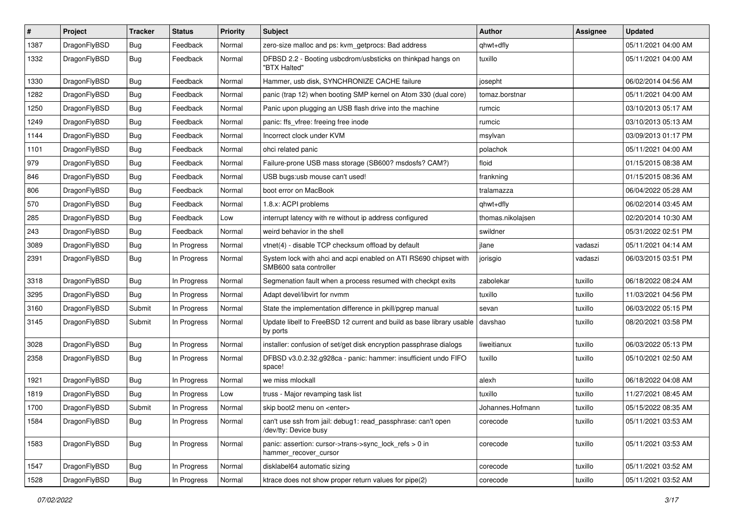| #    | Project      | <b>Tracker</b> | <b>Status</b> | <b>Priority</b> | <b>Subject</b>                                                                             | <b>Author</b>     | <b>Assignee</b> | <b>Updated</b>      |
|------|--------------|----------------|---------------|-----------------|--------------------------------------------------------------------------------------------|-------------------|-----------------|---------------------|
| 1387 | DragonFlyBSD | Bug            | Feedback      | Normal          | zero-size malloc and ps: kvm_getprocs: Bad address                                         | qhwt+dfly         |                 | 05/11/2021 04:00 AM |
| 1332 | DragonFlyBSD | <b>Bug</b>     | Feedback      | Normal          | DFBSD 2.2 - Booting usbcdrom/usbsticks on thinkpad hangs on<br>"BTX Halted"                | tuxillo           |                 | 05/11/2021 04:00 AM |
| 1330 | DragonFlyBSD | <b>Bug</b>     | Feedback      | Normal          | Hammer, usb disk, SYNCHRONIZE CACHE failure                                                | josepht           |                 | 06/02/2014 04:56 AM |
| 1282 | DragonFlyBSD | Bug            | Feedback      | Normal          | panic (trap 12) when booting SMP kernel on Atom 330 (dual core)                            | tomaz.borstnar    |                 | 05/11/2021 04:00 AM |
| 1250 | DragonFlyBSD | Bug            | Feedback      | Normal          | Panic upon plugging an USB flash drive into the machine                                    | rumcic            |                 | 03/10/2013 05:17 AM |
| 1249 | DragonFlyBSD | <b>Bug</b>     | Feedback      | Normal          | panic: ffs vfree: freeing free inode                                                       | rumcic            |                 | 03/10/2013 05:13 AM |
| 1144 | DragonFlyBSD | <b>Bug</b>     | Feedback      | Normal          | Incorrect clock under KVM                                                                  | msylvan           |                 | 03/09/2013 01:17 PM |
| 1101 | DragonFlyBSD | <b>Bug</b>     | Feedback      | Normal          | ohci related panic                                                                         | polachok          |                 | 05/11/2021 04:00 AM |
| 979  | DragonFlyBSD | Bug            | Feedback      | Normal          | Failure-prone USB mass storage (SB600? msdosfs? CAM?)                                      | floid             |                 | 01/15/2015 08:38 AM |
| 846  | DragonFlyBSD | <b>Bug</b>     | Feedback      | Normal          | USB bugs:usb mouse can't used!                                                             | frankning         |                 | 01/15/2015 08:36 AM |
| 806  | DragonFlyBSD | Bug            | Feedback      | Normal          | boot error on MacBook                                                                      | tralamazza        |                 | 06/04/2022 05:28 AM |
| 570  | DragonFlyBSD | <b>Bug</b>     | Feedback      | Normal          | 1.8.x: ACPI problems                                                                       | qhwt+dfly         |                 | 06/02/2014 03:45 AM |
| 285  | DragonFlyBSD | <b>Bug</b>     | Feedback      | Low             | interrupt latency with re without ip address configured                                    | thomas.nikolajsen |                 | 02/20/2014 10:30 AM |
| 243  | DragonFlyBSD | Bug            | Feedback      | Normal          | weird behavior in the shell                                                                | swildner          |                 | 05/31/2022 02:51 PM |
| 3089 | DragonFlyBSD | <b>Bug</b>     | In Progress   | Normal          | vtnet(4) - disable TCP checksum offload by default                                         | jlane             | vadaszi         | 05/11/2021 04:14 AM |
| 2391 | DragonFlyBSD | Bug            | In Progress   | Normal          | System lock with ahci and acpi enabled on ATI RS690 chipset with<br>SMB600 sata controller | jorisgio          | vadaszi         | 06/03/2015 03:51 PM |
| 3318 | DragonFlyBSD | <b>Bug</b>     | In Progress   | Normal          | Segmenation fault when a process resumed with checkpt exits                                | zabolekar         | tuxillo         | 06/18/2022 08:24 AM |
| 3295 | DragonFlyBSD | Bug            | In Progress   | Normal          | Adapt devel/libvirt for nvmm                                                               | tuxillo           | tuxillo         | 11/03/2021 04:56 PM |
| 3160 | DragonFlyBSD | Submit         | In Progress   | Normal          | State the implementation difference in pkill/pgrep manual                                  | sevan             | tuxillo         | 06/03/2022 05:15 PM |
| 3145 | DragonFlyBSD | Submit         | In Progress   | Normal          | Update libelf to FreeBSD 12 current and build as base library usable<br>by ports           | davshao           | tuxillo         | 08/20/2021 03:58 PM |
| 3028 | DragonFlyBSD | Bug            | In Progress   | Normal          | installer: confusion of set/get disk encryption passphrase dialogs                         | liweitianux       | tuxillo         | 06/03/2022 05:13 PM |
| 2358 | DragonFlyBSD | Bug            | In Progress   | Normal          | DFBSD v3.0.2.32.g928ca - panic: hammer: insufficient undo FIFO<br>space!                   | tuxillo           | tuxillo         | 05/10/2021 02:50 AM |
| 1921 | DragonFlyBSD | Bug            | In Progress   | Normal          | we miss mlockall                                                                           | alexh             | tuxillo         | 06/18/2022 04:08 AM |
| 1819 | DragonFlyBSD | Bug            | In Progress   | Low             | truss - Major revamping task list                                                          | tuxillo           | tuxillo         | 11/27/2021 08:45 AM |
| 1700 | DragonFlyBSD | Submit         | In Progress   | Normal          | skip boot2 menu on <enter></enter>                                                         | Johannes.Hofmann  | tuxillo         | 05/15/2022 08:35 AM |
| 1584 | DragonFlyBSD | Bug            | In Progress   | Normal          | can't use ssh from jail: debug1: read_passphrase: can't open<br>/dev/tty: Device busy      | corecode          | tuxillo         | 05/11/2021 03:53 AM |
| 1583 | DragonFlyBSD | <b>Bug</b>     | In Progress   | Normal          | panic: assertion: cursor->trans->sync_lock_refs > 0 in<br>hammer_recover_cursor            | corecode          | tuxillo         | 05/11/2021 03:53 AM |
| 1547 | DragonFlyBSD | Bug            | In Progress   | Normal          | disklabel64 automatic sizing                                                               | corecode          | tuxillo         | 05/11/2021 03:52 AM |
| 1528 | DragonFlyBSD | <b>Bug</b>     | In Progress   | Normal          | ktrace does not show proper return values for pipe(2)                                      | corecode          | tuxillo         | 05/11/2021 03:52 AM |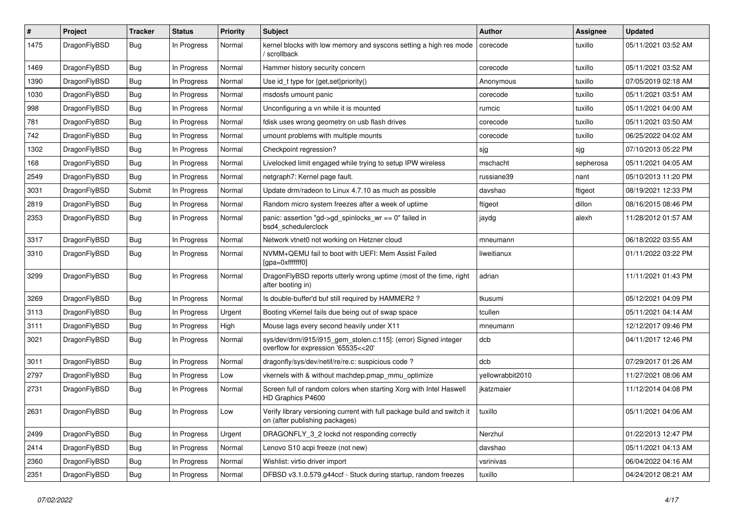| $\sharp$ | Project      | <b>Tracker</b> | <b>Status</b> | <b>Priority</b> | Subject                                                                                                   | <b>Author</b>    | Assignee  | <b>Updated</b>      |
|----------|--------------|----------------|---------------|-----------------|-----------------------------------------------------------------------------------------------------------|------------------|-----------|---------------------|
| 1475     | DragonFlyBSD | <b>Bug</b>     | In Progress   | Normal          | kernel blocks with low memory and syscons setting a high res mode<br>/ scrollback                         | corecode         | tuxillo   | 05/11/2021 03:52 AM |
| 1469     | DragonFlyBSD | <b>Bug</b>     | In Progress   | Normal          | Hammer history security concern                                                                           | corecode         | tuxillo   | 05/11/2021 03:52 AM |
| 1390     | DragonFlyBSD | Bug            | In Progress   | Normal          | Use id_t type for {get,set}priority()                                                                     | Anonymous        | tuxillo   | 07/05/2019 02:18 AM |
| 1030     | DragonFlyBSD | Bug            | In Progress   | Normal          | msdosfs umount panic                                                                                      | corecode         | tuxillo   | 05/11/2021 03:51 AM |
| 998      | DragonFlyBSD | <b>Bug</b>     | In Progress   | Normal          | Unconfiguring a vn while it is mounted                                                                    | rumcic           | tuxillo   | 05/11/2021 04:00 AM |
| 781      | DragonFlyBSD | <b>Bug</b>     | In Progress   | Normal          | fdisk uses wrong geometry on usb flash drives                                                             | corecode         | tuxillo   | 05/11/2021 03:50 AM |
| 742      | DragonFlyBSD | <b>Bug</b>     | In Progress   | Normal          | umount problems with multiple mounts                                                                      | corecode         | tuxillo   | 06/25/2022 04:02 AM |
| 1302     | DragonFlyBSD | <b>Bug</b>     | In Progress   | Normal          | Checkpoint regression?                                                                                    | sjg              | sjg       | 07/10/2013 05:22 PM |
| 168      | DragonFlyBSD | Bug            | In Progress   | Normal          | Livelocked limit engaged while trying to setup IPW wireless                                               | mschacht         | sepherosa | 05/11/2021 04:05 AM |
| 2549     | DragonFlyBSD | <b>Bug</b>     | In Progress   | Normal          | netgraph7: Kernel page fault.                                                                             | russiane39       | nant      | 05/10/2013 11:20 PM |
| 3031     | DragonFlyBSD | Submit         | In Progress   | Normal          | Update drm/radeon to Linux 4.7.10 as much as possible                                                     | davshao          | ftigeot   | 08/19/2021 12:33 PM |
| 2819     | DragonFlyBSD | Bug            | In Progress   | Normal          | Random micro system freezes after a week of uptime                                                        | ftigeot          | dillon    | 08/16/2015 08:46 PM |
| 2353     | DragonFlyBSD | <b>Bug</b>     | In Progress   | Normal          | panic: assertion "gd->gd_spinlocks_wr == 0" failed in<br>bsd4_schedulerclock                              | jaydg            | alexh     | 11/28/2012 01:57 AM |
| 3317     | DragonFlyBSD | Bug            | In Progress   | Normal          | Network vtnet0 not working on Hetzner cloud                                                               | mneumann         |           | 06/18/2022 03:55 AM |
| 3310     | DragonFlyBSD | <b>Bug</b>     | In Progress   | Normal          | NVMM+QEMU fail to boot with UEFI: Mem Assist Failed<br>[gpa=0xfffffff0]                                   | liweitianux      |           | 01/11/2022 03:22 PM |
| 3299     | DragonFlyBSD | Bug            | In Progress   | Normal          | DragonFlyBSD reports utterly wrong uptime (most of the time, right<br>after booting in)                   | adrian           |           | 11/11/2021 01:43 PM |
| 3269     | DragonFlyBSD | Bug            | In Progress   | Normal          | Is double-buffer'd buf still required by HAMMER2 ?                                                        | tkusumi          |           | 05/12/2021 04:09 PM |
| 3113     | DragonFlyBSD | Bug            | In Progress   | Urgent          | Booting vKernel fails due being out of swap space                                                         | tcullen          |           | 05/11/2021 04:14 AM |
| 3111     | DragonFlyBSD | <b>Bug</b>     | In Progress   | High            | Mouse lags every second heavily under X11                                                                 | mneumann         |           | 12/12/2017 09:46 PM |
| 3021     | DragonFlyBSD | <b>Bug</b>     | In Progress   | Normal          | sys/dev/drm/i915/i915_gem_stolen.c:115]: (error) Signed integer<br>overflow for expression '65535<<20'    | dcb              |           | 04/11/2017 12:46 PM |
| 3011     | DragonFlyBSD | Bug            | In Progress   | Normal          | dragonfly/sys/dev/netif/re/re.c: suspicious code?                                                         | dcb              |           | 07/29/2017 01:26 AM |
| 2797     | DragonFlyBSD | Bug            | In Progress   | Low             | vkernels with & without machdep.pmap_mmu_optimize                                                         | yellowrabbit2010 |           | 11/27/2021 08:06 AM |
| 2731     | DragonFlyBSD | <b>Bug</b>     | In Progress   | Normal          | Screen full of random colors when starting Xorg with Intel Haswell<br>HD Graphics P4600                   | jkatzmaier       |           | 11/12/2014 04:08 PM |
| 2631     | DragonFlyBSD | Bug            | In Progress   | Low             | Verify library versioning current with full package build and switch it<br>on (after publishing packages) | tuxillo          |           | 05/11/2021 04:06 AM |
| 2499     | DragonFlyBSD | <b>Bug</b>     | In Progress   | Urgent          | DRAGONFLY 3 2 lockd not responding correctly                                                              | Nerzhul          |           | 01/22/2013 12:47 PM |
| 2414     | DragonFlyBSD | Bug            | In Progress   | Normal          | Lenovo S10 acpi freeze (not new)                                                                          | davshao          |           | 05/11/2021 04:13 AM |
| 2360     | DragonFlyBSD | <b>Bug</b>     | In Progress   | Normal          | Wishlist: virtio driver import                                                                            | vsrinivas        |           | 06/04/2022 04:16 AM |
| 2351     | DragonFlyBSD | <b>Bug</b>     | In Progress   | Normal          | DFBSD v3.1.0.579.g44ccf - Stuck during startup, random freezes                                            | tuxillo          |           | 04/24/2012 08:21 AM |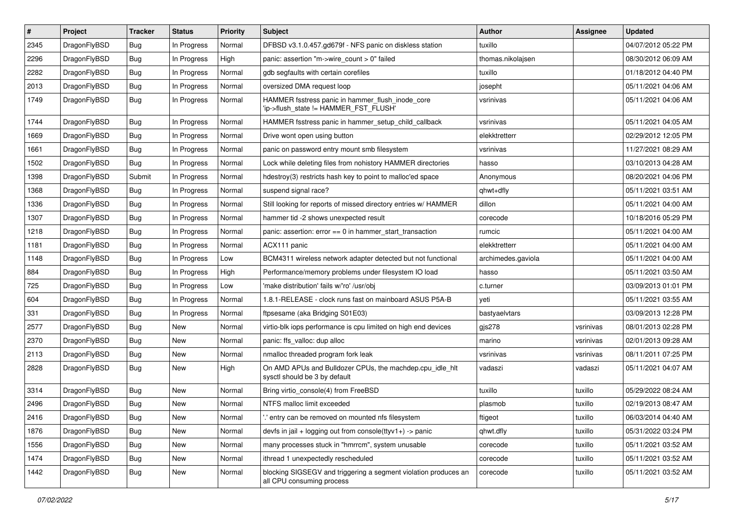| $\vert$ # | Project      | <b>Tracker</b> | <b>Status</b> | <b>Priority</b> | <b>Subject</b>                                                                               | Author             | Assignee  | <b>Updated</b>      |
|-----------|--------------|----------------|---------------|-----------------|----------------------------------------------------------------------------------------------|--------------------|-----------|---------------------|
| 2345      | DragonFlyBSD | Bug            | In Progress   | Normal          | DFBSD v3.1.0.457.gd679f - NFS panic on diskless station                                      | tuxillo            |           | 04/07/2012 05:22 PM |
| 2296      | DragonFlyBSD | <b>Bug</b>     | In Progress   | High            | panic: assertion "m->wire count > 0" failed                                                  | thomas.nikolajsen  |           | 08/30/2012 06:09 AM |
| 2282      | DragonFlyBSD | <b>Bug</b>     | In Progress   | Normal          | gdb segfaults with certain corefiles                                                         | tuxillo            |           | 01/18/2012 04:40 PM |
| 2013      | DragonFlyBSD | Bug            | In Progress   | Normal          | oversized DMA request loop                                                                   | josepht            |           | 05/11/2021 04:06 AM |
| 1749      | DragonFlyBSD | Bug            | In Progress   | Normal          | HAMMER fsstress panic in hammer_flush_inode_core<br>'ip->flush_state != HAMMER_FST_FLUSH'    | vsrinivas          |           | 05/11/2021 04:06 AM |
| 1744      | DragonFlyBSD | Bug            | In Progress   | Normal          | HAMMER fsstress panic in hammer_setup_child_callback                                         | vsrinivas          |           | 05/11/2021 04:05 AM |
| 1669      | DragonFlyBSD | <b>Bug</b>     | In Progress   | Normal          | Drive wont open using button                                                                 | elekktretterr      |           | 02/29/2012 12:05 PM |
| 1661      | DragonFlyBSD | <b>Bug</b>     | In Progress   | Normal          | panic on password entry mount smb filesystem                                                 | vsrinivas          |           | 11/27/2021 08:29 AM |
| 1502      | DragonFlyBSD | Bug            | In Progress   | Normal          | Lock while deleting files from nohistory HAMMER directories                                  | hasso              |           | 03/10/2013 04:28 AM |
| 1398      | DragonFlyBSD | Submit         | In Progress   | Normal          | hdestroy(3) restricts hash key to point to malloc'ed space                                   | Anonymous          |           | 08/20/2021 04:06 PM |
| 1368      | DragonFlyBSD | Bug            | In Progress   | Normal          | suspend signal race?                                                                         | qhwt+dfly          |           | 05/11/2021 03:51 AM |
| 1336      | DragonFlyBSD | <b>Bug</b>     | In Progress   | Normal          | Still looking for reports of missed directory entries w/ HAMMER                              | dillon             |           | 05/11/2021 04:00 AM |
| 1307      | DragonFlyBSD | <b>Bug</b>     | In Progress   | Normal          | hammer tid -2 shows unexpected result                                                        | corecode           |           | 10/18/2016 05:29 PM |
| 1218      | DragonFlyBSD | <b>Bug</b>     | In Progress   | Normal          | panic: assertion: error == 0 in hammer_start_transaction                                     | rumcic             |           | 05/11/2021 04:00 AM |
| 1181      | DragonFlyBSD | <b>Bug</b>     | In Progress   | Normal          | ACX111 panic                                                                                 | elekktretterr      |           | 05/11/2021 04:00 AM |
| 1148      | DragonFlyBSD | <b>Bug</b>     | In Progress   | Low             | BCM4311 wireless network adapter detected but not functional                                 | archimedes.gaviola |           | 05/11/2021 04:00 AM |
| 884       | DragonFlyBSD | <b>Bug</b>     | In Progress   | High            | Performance/memory problems under filesystem IO load                                         | hasso              |           | 05/11/2021 03:50 AM |
| 725       | DragonFlyBSD | <b>Bug</b>     | In Progress   | Low             | 'make distribution' fails w/'ro' /usr/obj                                                    | c.turner           |           | 03/09/2013 01:01 PM |
| 604       | DragonFlyBSD | <b>Bug</b>     | In Progress   | Normal          | 1.8.1-RELEASE - clock runs fast on mainboard ASUS P5A-B                                      | yeti               |           | 05/11/2021 03:55 AM |
| 331       | DragonFlyBSD | <b>Bug</b>     | In Progress   | Normal          | ftpsesame (aka Bridging S01E03)                                                              | bastyaelvtars      |           | 03/09/2013 12:28 PM |
| 2577      | DragonFlyBSD | <b>Bug</b>     | <b>New</b>    | Normal          | virtio-blk iops performance is cpu limited on high end devices                               | gjs278             | vsrinivas | 08/01/2013 02:28 PM |
| 2370      | DragonFlyBSD | <b>Bug</b>     | <b>New</b>    | Normal          | panic: ffs_valloc: dup alloc                                                                 | marino             | vsrinivas | 02/01/2013 09:28 AM |
| 2113      | DragonFlyBSD | <b>Bug</b>     | <b>New</b>    | Normal          | nmalloc threaded program fork leak                                                           | vsrinivas          | vsrinivas | 08/11/2011 07:25 PM |
| 2828      | DragonFlyBSD | Bug            | <b>New</b>    | High            | On AMD APUs and Bulldozer CPUs, the machdep.cpu_idle_hlt<br>sysctl should be 3 by default    | vadaszi            | vadaszi   | 05/11/2021 04:07 AM |
| 3314      | DragonFlyBSD | Bug            | <b>New</b>    | Normal          | Bring virtio_console(4) from FreeBSD                                                         | tuxillo            | tuxillo   | 05/29/2022 08:24 AM |
| 2496      | DragonFlyBSD | <b>Bug</b>     | <b>New</b>    | Normal          | NTFS malloc limit exceeded                                                                   | plasmob            | tuxillo   | 02/19/2013 08:47 AM |
| 2416      | DragonFlyBSD | <b>Bug</b>     | New           | Normal          | entry can be removed on mounted nfs filesystem                                               | ftigeot            | tuxillo   | 06/03/2014 04:40 AM |
| 1876      | DragonFlyBSD | Bug            | New           | Normal          | devfs in jail + logging out from console(ttyv1+) -> panic                                    | qhwt.dfly          | tuxillo   | 05/31/2022 03:24 PM |
| 1556      | DragonFlyBSD | <b>Bug</b>     | New           | Normal          | many processes stuck in "hmrrcm", system unusable                                            | corecode           | tuxillo   | 05/11/2021 03:52 AM |
| 1474      | DragonFlyBSD | <b>Bug</b>     | New           | Normal          | ithread 1 unexpectedly rescheduled                                                           | corecode           | tuxillo   | 05/11/2021 03:52 AM |
| 1442      | DragonFlyBSD | <b>Bug</b>     | New           | Normal          | blocking SIGSEGV and triggering a segment violation produces an<br>all CPU consuming process | corecode           | tuxillo   | 05/11/2021 03:52 AM |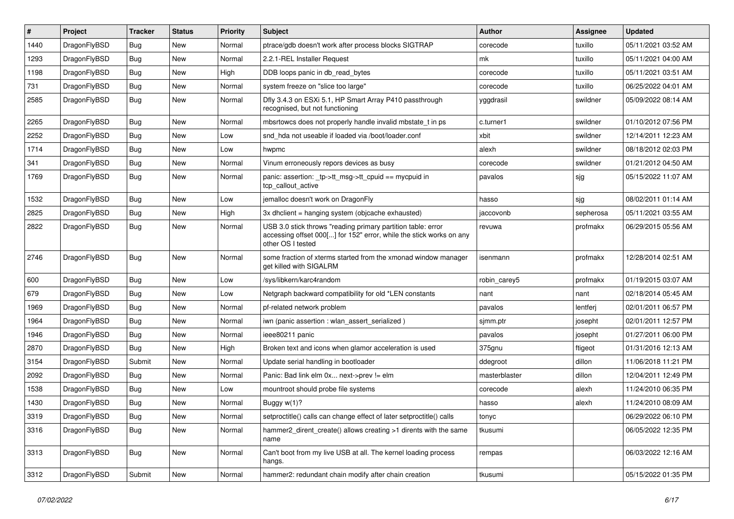| #    | Project      | <b>Tracker</b> | <b>Status</b> | <b>Priority</b> | Subject                                                                                                                                                  | <b>Author</b> | Assignee  | <b>Updated</b>      |
|------|--------------|----------------|---------------|-----------------|----------------------------------------------------------------------------------------------------------------------------------------------------------|---------------|-----------|---------------------|
| 1440 | DragonFlyBSD | <b>Bug</b>     | <b>New</b>    | Normal          | ptrace/gdb doesn't work after process blocks SIGTRAP                                                                                                     | corecode      | tuxillo   | 05/11/2021 03:52 AM |
| 1293 | DragonFlyBSD | <b>Bug</b>     | <b>New</b>    | Normal          | 2.2.1-REL Installer Request                                                                                                                              | mk            | tuxillo   | 05/11/2021 04:00 AM |
| 1198 | DragonFlyBSD | Bug            | New           | High            | DDB loops panic in db read bytes                                                                                                                         | corecode      | tuxillo   | 05/11/2021 03:51 AM |
| 731  | DragonFlyBSD | Bug            | New           | Normal          | system freeze on "slice too large"                                                                                                                       | corecode      | tuxillo   | 06/25/2022 04:01 AM |
| 2585 | DragonFlyBSD | Bug            | New           | Normal          | Dfly 3.4.3 on ESXi 5.1, HP Smart Array P410 passthrough<br>recognised, but not functioning                                                               | yggdrasil     | swildner  | 05/09/2022 08:14 AM |
| 2265 | DragonFlyBSD | <b>Bug</b>     | <b>New</b>    | Normal          | mbsrtowcs does not properly handle invalid mbstate_t in ps                                                                                               | c.turner1     | swildner  | 01/10/2012 07:56 PM |
| 2252 | DragonFlyBSD | Bug            | New           | Low             | snd hda not useable if loaded via /boot/loader.conf                                                                                                      | xbit          | swildner  | 12/14/2011 12:23 AM |
| 1714 | DragonFlyBSD | Bug            | New           | Low             | hwpmc                                                                                                                                                    | alexh         | swildner  | 08/18/2012 02:03 PM |
| 341  | DragonFlyBSD | <b>Bug</b>     | <b>New</b>    | Normal          | Vinum erroneously repors devices as busy                                                                                                                 | corecode      | swildner  | 01/21/2012 04:50 AM |
| 1769 | DragonFlyBSD | <b>Bug</b>     | New           | Normal          | panic: assertion: _tp->tt_msg->tt_cpuid == mycpuid in<br>tcp_callout_active                                                                              | pavalos       | sjg       | 05/15/2022 11:07 AM |
| 1532 | DragonFlyBSD | <b>Bug</b>     | New           | Low             | jemalloc doesn't work on DragonFly                                                                                                                       | hasso         | sjg       | 08/02/2011 01:14 AM |
| 2825 | DragonFlyBSD | <b>Bug</b>     | New           | High            | 3x dhclient = hanging system (objcache exhausted)                                                                                                        | jaccovonb     | sepherosa | 05/11/2021 03:55 AM |
| 2822 | DragonFlyBSD | <b>Bug</b>     | New           | Normal          | USB 3.0 stick throws "reading primary partition table: error<br>accessing offset 000[] for 152" error, while the stick works on any<br>other OS I tested | revuwa        | profmakx  | 06/29/2015 05:56 AM |
| 2746 | DragonFlyBSD | Bug            | New           | Normal          | some fraction of xterms started from the xmonad window manager<br>get killed with SIGALRM                                                                | isenmann      | profmakx  | 12/28/2014 02:51 AM |
| 600  | DragonFlyBSD | <b>Bug</b>     | New           | Low             | /sys/libkern/karc4random                                                                                                                                 | robin carey5  | profmakx  | 01/19/2015 03:07 AM |
| 679  | DragonFlyBSD | Bug            | New           | Low             | Netgraph backward compatibility for old *LEN constants                                                                                                   | nant          | nant      | 02/18/2014 05:45 AM |
| 1969 | DragonFlyBSD | <b>Bug</b>     | New           | Normal          | pf-related network problem                                                                                                                               | pavalos       | lentferj  | 02/01/2011 06:57 PM |
| 1964 | DragonFlyBSD | <b>Bug</b>     | New           | Normal          | iwn (panic assertion : wlan_assert_serialized)                                                                                                           | sjmm.ptr      | josepht   | 02/01/2011 12:57 PM |
| 1946 | DragonFlyBSD | Bug            | New           | Normal          | ieee80211 panic                                                                                                                                          | pavalos       | josepht   | 01/27/2011 06:00 PM |
| 2870 | DragonFlyBSD | Bug            | New           | High            | Broken text and icons when glamor acceleration is used                                                                                                   | 375gnu        | ftigeot   | 01/31/2016 12:13 AM |
| 3154 | DragonFlyBSD | Submit         | <b>New</b>    | Normal          | Update serial handling in bootloader                                                                                                                     | ddegroot      | dillon    | 11/06/2018 11:21 PM |
| 2092 | DragonFlyBSD | Bug            | New           | Normal          | Panic: Bad link elm 0x next->prev != elm                                                                                                                 | masterblaster | dillon    | 12/04/2011 12:49 PM |
| 1538 | DragonFlyBSD | Bug            | New           | Low             | mountroot should probe file systems                                                                                                                      | corecode      | alexh     | 11/24/2010 06:35 PM |
| 1430 | DragonFlyBSD | Bug            | New           | Normal          | Buggy w(1)?                                                                                                                                              | hasso         | alexh     | 11/24/2010 08:09 AM |
| 3319 | DragonFlyBSD | <b>Bug</b>     | New           | Normal          | setproctitle() calls can change effect of later setproctitle() calls                                                                                     | tonyc         |           | 06/29/2022 06:10 PM |
| 3316 | DragonFlyBSD | <b>Bug</b>     | New           | Normal          | hammer2_dirent_create() allows creating >1 dirents with the same<br>name                                                                                 | tkusumi       |           | 06/05/2022 12:35 PM |
| 3313 | DragonFlyBSD | <b>Bug</b>     | New           | Normal          | Can't boot from my live USB at all. The kernel loading process<br>hangs.                                                                                 | rempas        |           | 06/03/2022 12:16 AM |
| 3312 | DragonFlyBSD | Submit         | New           | Normal          | hammer2: redundant chain modify after chain creation                                                                                                     | tkusumi       |           | 05/15/2022 01:35 PM |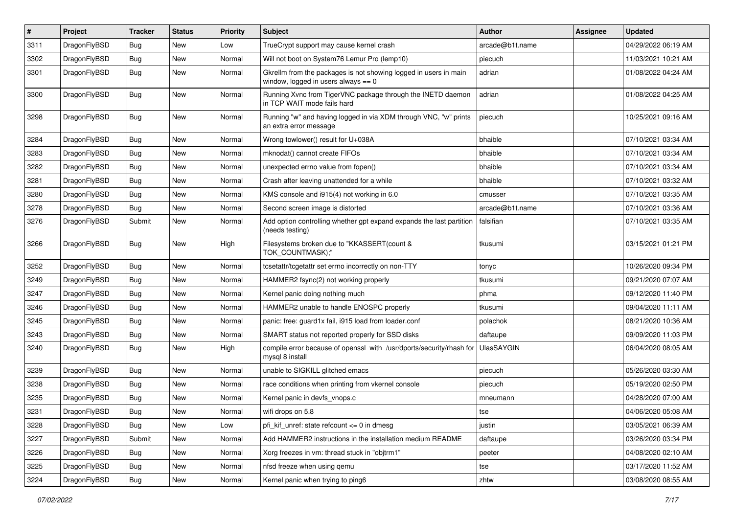| $\sharp$ | Project      | <b>Tracker</b> | <b>Status</b> | <b>Priority</b> | Subject                                                                                                   | <b>Author</b>     | <b>Assignee</b> | <b>Updated</b>      |
|----------|--------------|----------------|---------------|-----------------|-----------------------------------------------------------------------------------------------------------|-------------------|-----------------|---------------------|
| 3311     | DragonFlyBSD | <b>Bug</b>     | <b>New</b>    | Low             | TrueCrypt support may cause kernel crash                                                                  | arcade@b1t.name   |                 | 04/29/2022 06:19 AM |
| 3302     | DragonFlyBSD | Bug            | <b>New</b>    | Normal          | Will not boot on System76 Lemur Pro (lemp10)                                                              | piecuch           |                 | 11/03/2021 10:21 AM |
| 3301     | DragonFlyBSD | Bug            | New           | Normal          | Gkrellm from the packages is not showing logged in users in main<br>window, logged in users always $== 0$ | adrian            |                 | 01/08/2022 04:24 AM |
| 3300     | DragonFlyBSD | <b>Bug</b>     | New           | Normal          | Running Xvnc from TigerVNC package through the INETD daemon<br>in TCP WAIT mode fails hard                | adrian            |                 | 01/08/2022 04:25 AM |
| 3298     | DragonFlyBSD | Bug            | New           | Normal          | Running "w" and having logged in via XDM through VNC, "w" prints<br>an extra error message                | piecuch           |                 | 10/25/2021 09:16 AM |
| 3284     | DragonFlyBSD | <b>Bug</b>     | <b>New</b>    | Normal          | Wrong towlower() result for U+038A                                                                        | bhaible           |                 | 07/10/2021 03:34 AM |
| 3283     | DragonFlyBSD | <b>Bug</b>     | New           | Normal          | mknodat() cannot create FIFOs                                                                             | bhaible           |                 | 07/10/2021 03:34 AM |
| 3282     | DragonFlyBSD | <b>Bug</b>     | New           | Normal          | unexpected errno value from fopen()                                                                       | bhaible           |                 | 07/10/2021 03:34 AM |
| 3281     | DragonFlyBSD | <b>Bug</b>     | <b>New</b>    | Normal          | Crash after leaving unattended for a while                                                                | bhaible           |                 | 07/10/2021 03:32 AM |
| 3280     | DragonFlyBSD | <b>Bug</b>     | <b>New</b>    | Normal          | KMS console and i915(4) not working in 6.0                                                                | cmusser           |                 | 07/10/2021 03:35 AM |
| 3278     | DragonFlyBSD | <b>Bug</b>     | <b>New</b>    | Normal          | Second screen image is distorted                                                                          | arcade@b1t.name   |                 | 07/10/2021 03:36 AM |
| 3276     | DragonFlyBSD | Submit         | New           | Normal          | Add option controlling whether gpt expand expands the last partition<br>(needs testing)                   | falsifian         |                 | 07/10/2021 03:35 AM |
| 3266     | DragonFlyBSD | Bug            | New           | High            | Filesystems broken due to "KKASSERT(count &<br>TOK COUNTMASK);"                                           | tkusumi           |                 | 03/15/2021 01:21 PM |
| 3252     | DragonFlyBSD | <b>Bug</b>     | <b>New</b>    | Normal          | tcsetattr/tcgetattr set errno incorrectly on non-TTY                                                      | tonyc             |                 | 10/26/2020 09:34 PM |
| 3249     | DragonFlyBSD | <b>Bug</b>     | <b>New</b>    | Normal          | HAMMER2 fsync(2) not working properly                                                                     | tkusumi           |                 | 09/21/2020 07:07 AM |
| 3247     | DragonFlyBSD | <b>Bug</b>     | New           | Normal          | Kernel panic doing nothing much                                                                           | phma              |                 | 09/12/2020 11:40 PM |
| 3246     | DragonFlyBSD | <b>Bug</b>     | New           | Normal          | HAMMER2 unable to handle ENOSPC properly                                                                  | tkusumi           |                 | 09/04/2020 11:11 AM |
| 3245     | DragonFlyBSD | <b>Bug</b>     | New           | Normal          | panic: free: guard1x fail, i915 load from loader.conf                                                     | polachok          |                 | 08/21/2020 10:36 AM |
| 3243     | DragonFlyBSD | <b>Bug</b>     | New           | Normal          | SMART status not reported properly for SSD disks                                                          | daftaupe          |                 | 09/09/2020 11:03 PM |
| 3240     | DragonFlyBSD | <b>Bug</b>     | <b>New</b>    | High            | compile error because of openssl with /usr/dports/security/rhash for<br>mysql 8 install                   | <b>UlasSAYGIN</b> |                 | 06/04/2020 08:05 AM |
| 3239     | DragonFlyBSD | <b>Bug</b>     | New           | Normal          | unable to SIGKILL glitched emacs                                                                          | piecuch           |                 | 05/26/2020 03:30 AM |
| 3238     | DragonFlyBSD | <b>Bug</b>     | New           | Normal          | race conditions when printing from vkernel console                                                        | piecuch           |                 | 05/19/2020 02:50 PM |
| 3235     | DragonFlyBSD | <b>Bug</b>     | New           | Normal          | Kernel panic in devfs_vnops.c                                                                             | mneumann          |                 | 04/28/2020 07:00 AM |
| 3231     | DragonFlyBSD | <b>Bug</b>     | <b>New</b>    | Normal          | wifi drops on 5.8                                                                                         | tse               |                 | 04/06/2020 05:08 AM |
| 3228     | DragonFlyBSD | <b>Bug</b>     | New           | Low             | pfi_kif_unref: state refcount <= 0 in dmesg                                                               | justin            |                 | 03/05/2021 06:39 AM |
| 3227     | DragonFlyBSD | Submit         | New           | Normal          | Add HAMMER2 instructions in the installation medium README                                                | daftaupe          |                 | 03/26/2020 03:34 PM |
| 3226     | DragonFlyBSD | <b>Bug</b>     | <b>New</b>    | Normal          | Xorg freezes in vm: thread stuck in "objtrm1"                                                             | peeter            |                 | 04/08/2020 02:10 AM |
| 3225     | DragonFlyBSD | <b>Bug</b>     | <b>New</b>    | Normal          | nfsd freeze when using qemu                                                                               | tse               |                 | 03/17/2020 11:52 AM |
| 3224     | DragonFlyBSD | <b>Bug</b>     | New           | Normal          | Kernel panic when trying to ping6                                                                         | zhtw              |                 | 03/08/2020 08:55 AM |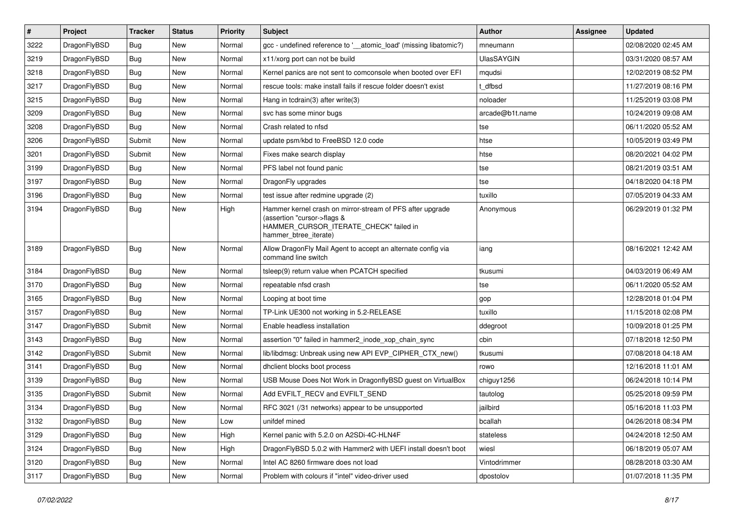| $\sharp$ | Project      | <b>Tracker</b> | <b>Status</b> | <b>Priority</b> | Subject                                                                                                                                                     | <b>Author</b>     | <b>Assignee</b> | <b>Updated</b>      |
|----------|--------------|----------------|---------------|-----------------|-------------------------------------------------------------------------------------------------------------------------------------------------------------|-------------------|-----------------|---------------------|
| 3222     | DragonFlyBSD | <b>Bug</b>     | New           | Normal          | gcc - undefined reference to '__atomic_load' (missing libatomic?)                                                                                           | mneumann          |                 | 02/08/2020 02:45 AM |
| 3219     | DragonFlyBSD | <b>Bug</b>     | <b>New</b>    | Normal          | x11/xorg port can not be build                                                                                                                              | <b>UlasSAYGIN</b> |                 | 03/31/2020 08:57 AM |
| 3218     | DragonFlyBSD | <b>Bug</b>     | <b>New</b>    | Normal          | Kernel panics are not sent to comconsole when booted over EFI                                                                                               | mqudsi            |                 | 12/02/2019 08:52 PM |
| 3217     | DragonFlyBSD | <b>Bug</b>     | New           | Normal          | rescue tools: make install fails if rescue folder doesn't exist                                                                                             | t dfbsd           |                 | 11/27/2019 08:16 PM |
| 3215     | DragonFlyBSD | Bug            | <b>New</b>    | Normal          | Hang in tcdrain(3) after write(3)                                                                                                                           | noloader          |                 | 11/25/2019 03:08 PM |
| 3209     | DragonFlyBSD | <b>Bug</b>     | New           | Normal          | svc has some minor bugs                                                                                                                                     | arcade@b1t.name   |                 | 10/24/2019 09:08 AM |
| 3208     | DragonFlyBSD | Bug            | New           | Normal          | Crash related to nfsd                                                                                                                                       | tse               |                 | 06/11/2020 05:52 AM |
| 3206     | DragonFlyBSD | Submit         | <b>New</b>    | Normal          | update psm/kbd to FreeBSD 12.0 code                                                                                                                         | htse              |                 | 10/05/2019 03:49 PM |
| 3201     | DragonFlyBSD | Submit         | New           | Normal          | Fixes make search display                                                                                                                                   | htse              |                 | 08/20/2021 04:02 PM |
| 3199     | DragonFlyBSD | Bug            | <b>New</b>    | Normal          | PFS label not found panic                                                                                                                                   | tse               |                 | 08/21/2019 03:51 AM |
| 3197     | DragonFlyBSD | <b>Bug</b>     | New           | Normal          | DragonFly upgrades                                                                                                                                          | tse               |                 | 04/18/2020 04:18 PM |
| 3196     | DragonFlyBSD | <b>Bug</b>     | New           | Normal          | test issue after redmine upgrade (2)                                                                                                                        | tuxillo           |                 | 07/05/2019 04:33 AM |
| 3194     | DragonFlyBSD | Bug            | New           | High            | Hammer kernel crash on mirror-stream of PFS after upgrade<br>(assertion "cursor->flags &<br>HAMMER_CURSOR_ITERATE_CHECK" failed in<br>hammer btree iterate) | Anonymous         |                 | 06/29/2019 01:32 PM |
| 3189     | DragonFlyBSD | Bug            | <b>New</b>    | Normal          | Allow DragonFly Mail Agent to accept an alternate config via<br>command line switch                                                                         | iang              |                 | 08/16/2021 12:42 AM |
| 3184     | DragonFlyBSD | Bug            | <b>New</b>    | Normal          | tsleep(9) return value when PCATCH specified                                                                                                                | tkusumi           |                 | 04/03/2019 06:49 AM |
| 3170     | DragonFlyBSD | <b>Bug</b>     | <b>New</b>    | Normal          | repeatable nfsd crash                                                                                                                                       | tse               |                 | 06/11/2020 05:52 AM |
| 3165     | DragonFlyBSD | Bug            | <b>New</b>    | Normal          | Looping at boot time                                                                                                                                        | gop               |                 | 12/28/2018 01:04 PM |
| 3157     | DragonFlyBSD | <b>Bug</b>     | New           | Normal          | TP-Link UE300 not working in 5.2-RELEASE                                                                                                                    | tuxillo           |                 | 11/15/2018 02:08 PM |
| 3147     | DragonFlyBSD | Submit         | New           | Normal          | Enable headless installation                                                                                                                                | ddegroot          |                 | 10/09/2018 01:25 PM |
| 3143     | DragonFlyBSD | Bug            | New           | Normal          | assertion "0" failed in hammer2 inode xop chain sync                                                                                                        | cbin              |                 | 07/18/2018 12:50 PM |
| 3142     | DragonFlyBSD | Submit         | <b>New</b>    | Normal          | lib/libdmsg: Unbreak using new API EVP_CIPHER_CTX_new()                                                                                                     | tkusumi           |                 | 07/08/2018 04:18 AM |
| 3141     | DragonFlyBSD | Bug            | New           | Normal          | dhclient blocks boot process                                                                                                                                | rowo              |                 | 12/16/2018 11:01 AM |
| 3139     | DragonFlyBSD | <b>Bug</b>     | New           | Normal          | USB Mouse Does Not Work in DragonflyBSD guest on VirtualBox                                                                                                 | chiguy1256        |                 | 06/24/2018 10:14 PM |
| 3135     | DragonFlyBSD | Submit         | New           | Normal          | Add EVFILT_RECV and EVFILT_SEND                                                                                                                             | tautolog          |                 | 05/25/2018 09:59 PM |
| 3134     | DragonFlyBSD | Bug            | New           | Normal          | RFC 3021 (/31 networks) appear to be unsupported                                                                                                            | jailbird          |                 | 05/16/2018 11:03 PM |
| 3132     | DragonFlyBSD | <b>Bug</b>     | New           | Low             | unifdef mined                                                                                                                                               | bcallah           |                 | 04/26/2018 08:34 PM |
| 3129     | DragonFlyBSD | <b>Bug</b>     | New           | High            | Kernel panic with 5.2.0 on A2SDi-4C-HLN4F                                                                                                                   | stateless         |                 | 04/24/2018 12:50 AM |
| 3124     | DragonFlyBSD | <b>Bug</b>     | New           | High            | DragonFlyBSD 5.0.2 with Hammer2 with UEFI install doesn't boot                                                                                              | wiesl             |                 | 06/18/2019 05:07 AM |
| 3120     | DragonFlyBSD | <b>Bug</b>     | New           | Normal          | Intel AC 8260 firmware does not load                                                                                                                        | Vintodrimmer      |                 | 08/28/2018 03:30 AM |
| 3117     | DragonFlyBSD | Bug            | New           | Normal          | Problem with colours if "intel" video-driver used                                                                                                           | dpostolov         |                 | 01/07/2018 11:35 PM |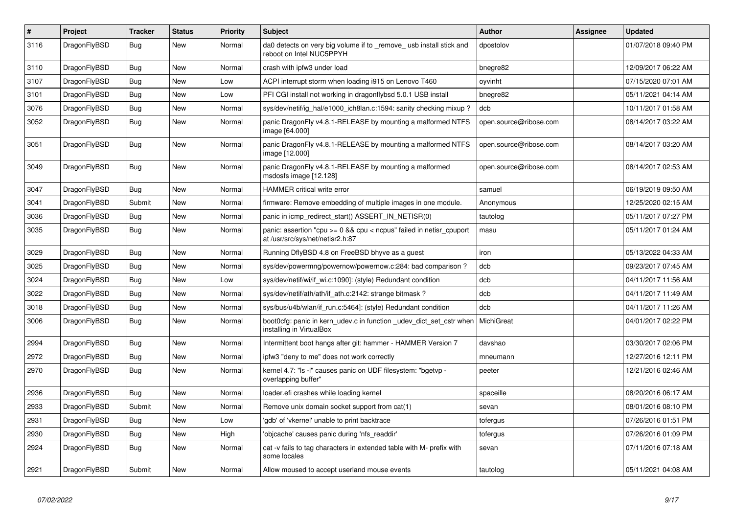| #    | <b>Project</b> | <b>Tracker</b> | <b>Status</b> | <b>Priority</b> | <b>Subject</b>                                                                                          | <b>Author</b>          | Assignee | <b>Updated</b>      |
|------|----------------|----------------|---------------|-----------------|---------------------------------------------------------------------------------------------------------|------------------------|----------|---------------------|
| 3116 | DragonFlyBSD   | Bug            | New           | Normal          | da0 detects on very big volume if to remove usb install stick and<br>reboot on Intel NUC5PPYH           | dpostolov              |          | 01/07/2018 09:40 PM |
| 3110 | DragonFlyBSD   | <b>Bug</b>     | New           | Normal          | crash with ipfw3 under load                                                                             | bnegre82               |          | 12/09/2017 06:22 AM |
| 3107 | DragonFlyBSD   | Bug            | <b>New</b>    | Low             | ACPI interrupt storm when loading i915 on Lenovo T460                                                   | oyvinht                |          | 07/15/2020 07:01 AM |
| 3101 | DragonFlyBSD   | Bug            | <b>New</b>    | Low             | PFI CGI install not working in dragonflybsd 5.0.1 USB install                                           | bnegre82               |          | 05/11/2021 04:14 AM |
| 3076 | DragonFlyBSD   | <b>Bug</b>     | <b>New</b>    | Normal          | sys/dev/netif/ig_hal/e1000_ich8lan.c:1594: sanity checking mixup?                                       | dcb                    |          | 10/11/2017 01:58 AM |
| 3052 | DragonFlyBSD   | Bug            | New           | Normal          | panic DragonFly v4.8.1-RELEASE by mounting a malformed NTFS<br>image [64.000]                           | open.source@ribose.com |          | 08/14/2017 03:22 AM |
| 3051 | DragonFlyBSD   | <b>Bug</b>     | <b>New</b>    | Normal          | panic DragonFly v4.8.1-RELEASE by mounting a malformed NTFS<br>image [12.000]                           | open.source@ribose.com |          | 08/14/2017 03:20 AM |
| 3049 | DragonFlyBSD   | Bug            | New           | Normal          | panic DragonFly v4.8.1-RELEASE by mounting a malformed<br>msdosfs image [12.128]                        | open.source@ribose.com |          | 08/14/2017 02:53 AM |
| 3047 | DragonFlyBSD   | Bug            | <b>New</b>    | Normal          | <b>HAMMER critical write error</b>                                                                      | samuel                 |          | 06/19/2019 09:50 AM |
| 3041 | DragonFlyBSD   | Submit         | <b>New</b>    | Normal          | firmware: Remove embedding of multiple images in one module.                                            | Anonymous              |          | 12/25/2020 02:15 AM |
| 3036 | DragonFlyBSD   | Bug            | <b>New</b>    | Normal          | panic in icmp redirect start() ASSERT IN NETISR(0)                                                      | tautolog               |          | 05/11/2017 07:27 PM |
| 3035 | DragonFlyBSD   | <b>Bug</b>     | <b>New</b>    | Normal          | panic: assertion "cpu >= 0 && cpu < ncpus" failed in netisr cpuport<br>at /usr/src/sys/net/netisr2.h:87 | masu                   |          | 05/11/2017 01:24 AM |
| 3029 | DragonFlyBSD   | <b>Bug</b>     | <b>New</b>    | Normal          | Running DflyBSD 4.8 on FreeBSD bhyve as a guest                                                         | iron                   |          | 05/13/2022 04:33 AM |
| 3025 | DragonFlyBSD   | Bug            | <b>New</b>    | Normal          | sys/dev/powermng/powernow/powernow.c:284: bad comparison ?                                              | dcb                    |          | 09/23/2017 07:45 AM |
| 3024 | DragonFlyBSD   | <b>Bug</b>     | New           | Low             | sys/dev/netif/wi/if_wi.c:1090]: (style) Redundant condition                                             | dcb                    |          | 04/11/2017 11:56 AM |
| 3022 | DragonFlyBSD   | <b>Bug</b>     | <b>New</b>    | Normal          | sys/dev/netif/ath/ath/if_ath.c:2142: strange bitmask?                                                   | dcb                    |          | 04/11/2017 11:49 AM |
| 3018 | DragonFlyBSD   | <b>Bug</b>     | <b>New</b>    | Normal          | sys/bus/u4b/wlan/if run.c:5464]: (style) Redundant condition                                            | dcb                    |          | 04/11/2017 11:26 AM |
| 3006 | DragonFlyBSD   | <b>Bug</b>     | <b>New</b>    | Normal          | boot0cfg: panic in kern udev.c in function udev dict set cstr when<br>installing in VirtualBox          | MichiGreat             |          | 04/01/2017 02:22 PM |
| 2994 | DragonFlyBSD   | Bug            | <b>New</b>    | Normal          | Intermittent boot hangs after git: hammer - HAMMER Version 7                                            | davshao                |          | 03/30/2017 02:06 PM |
| 2972 | DragonFlyBSD   | Bug            | <b>New</b>    | Normal          | ipfw3 "deny to me" does not work correctly                                                              | mneumann               |          | 12/27/2016 12:11 PM |
| 2970 | DragonFlyBSD   | <b>Bug</b>     | New           | Normal          | kernel 4.7: "Is -l" causes panic on UDF filesystem: "bgetvp -<br>overlapping buffer"                    | peeter                 |          | 12/21/2016 02:46 AM |
| 2936 | DragonFlyBSD   | Bug            | New           | Normal          | loader.efi crashes while loading kernel                                                                 | spaceille              |          | 08/20/2016 06:17 AM |
| 2933 | DragonFlyBSD   | Submit         | <b>New</b>    | Normal          | Remove unix domain socket support from cat(1)                                                           | sevan                  |          | 08/01/2016 08:10 PM |
| 2931 | DragonFlyBSD   | <b>Bug</b>     | <b>New</b>    | Low             | 'gdb' of 'vkernel' unable to print backtrace                                                            | tofergus               |          | 07/26/2016 01:51 PM |
| 2930 | DragonFlyBSD   | <b>Bug</b>     | <b>New</b>    | High            | 'objcache' causes panic during 'nfs_readdir'                                                            | tofergus               |          | 07/26/2016 01:09 PM |
| 2924 | DragonFlyBSD   | Bug            | <b>New</b>    | Normal          | cat -v fails to tag characters in extended table with M- prefix with<br>some locales                    | sevan                  |          | 07/11/2016 07:18 AM |
| 2921 | DragonFlyBSD   | Submit         | <b>New</b>    | Normal          | Allow moused to accept userland mouse events                                                            | tautolog               |          | 05/11/2021 04:08 AM |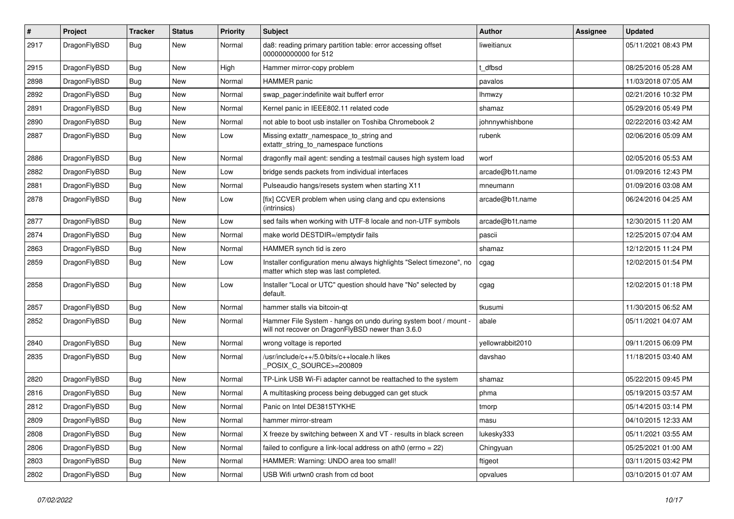| #    | Project      | <b>Tracker</b> | <b>Status</b> | <b>Priority</b> | Subject                                                                                                              | <b>Author</b>    | <b>Assignee</b> | <b>Updated</b>      |
|------|--------------|----------------|---------------|-----------------|----------------------------------------------------------------------------------------------------------------------|------------------|-----------------|---------------------|
| 2917 | DragonFlyBSD | Bug            | New           | Normal          | da8: reading primary partition table: error accessing offset<br>000000000000 for 512                                 | liweitianux      |                 | 05/11/2021 08:43 PM |
| 2915 | DragonFlyBSD | Bug            | <b>New</b>    | High            | Hammer mirror-copy problem                                                                                           | : dfbsd          |                 | 08/25/2016 05:28 AM |
| 2898 | DragonFlyBSD | Bug            | New           | Normal          | <b>HAMMER</b> panic                                                                                                  | pavalos          |                 | 11/03/2018 07:05 AM |
| 2892 | DragonFlyBSD | Bug            | New           | Normal          | swap_pager:indefinite wait bufferf error                                                                             | lhmwzy           |                 | 02/21/2016 10:32 PM |
| 2891 | DragonFlyBSD | Bug            | New           | Normal          | Kernel panic in IEEE802.11 related code                                                                              | shamaz           |                 | 05/29/2016 05:49 PM |
| 2890 | DragonFlyBSD | Bug            | New           | Normal          | not able to boot usb installer on Toshiba Chromebook 2                                                               | johnnywhishbone  |                 | 02/22/2016 03:42 AM |
| 2887 | DragonFlyBSD | Bug            | <b>New</b>    | Low             | Missing extattr_namespace_to_string and<br>extattr_string_to_namespace functions                                     | rubenk           |                 | 02/06/2016 05:09 AM |
| 2886 | DragonFlyBSD | Bug            | <b>New</b>    | Normal          | dragonfly mail agent: sending a testmail causes high system load                                                     | worf             |                 | 02/05/2016 05:53 AM |
| 2882 | DragonFlyBSD | Bug            | New           | Low             | bridge sends packets from individual interfaces                                                                      | arcade@b1t.name  |                 | 01/09/2016 12:43 PM |
| 2881 | DragonFlyBSD | Bug            | New           | Normal          | Pulseaudio hangs/resets system when starting X11                                                                     | mneumann         |                 | 01/09/2016 03:08 AM |
| 2878 | DragonFlyBSD | Bug            | New           | Low             | [fix] CCVER problem when using clang and cpu extensions<br>(intrinsics)                                              | arcade@b1t.name  |                 | 06/24/2016 04:25 AM |
| 2877 | DragonFlyBSD | Bug            | <b>New</b>    | Low             | sed fails when working with UTF-8 locale and non-UTF symbols                                                         | arcade@b1t.name  |                 | 12/30/2015 11:20 AM |
| 2874 | DragonFlyBSD | Bug            | New           | Normal          | make world DESTDIR=/emptydir fails                                                                                   | pascii           |                 | 12/25/2015 07:04 AM |
| 2863 | DragonFlyBSD | Bug            | New           | Normal          | HAMMER synch tid is zero                                                                                             | shamaz           |                 | 12/12/2015 11:24 PM |
| 2859 | DragonFlyBSD | <b>Bug</b>     | New           | Low             | Installer configuration menu always highlights "Select timezone", no<br>matter which step was last completed.        | cgag             |                 | 12/02/2015 01:54 PM |
| 2858 | DragonFlyBSD | Bug            | New           | Low             | Installer "Local or UTC" question should have "No" selected by<br>default.                                           | cgag             |                 | 12/02/2015 01:18 PM |
| 2857 | DragonFlyBSD | Bug            | New           | Normal          | hammer stalls via bitcoin-qt                                                                                         | tkusumi          |                 | 11/30/2015 06:52 AM |
| 2852 | DragonFlyBSD | Bug            | New           | Normal          | Hammer File System - hangs on undo during system boot / mount -<br>will not recover on DragonFlyBSD newer than 3.6.0 | abale            |                 | 05/11/2021 04:07 AM |
| 2840 | DragonFlyBSD | Bug            | <b>New</b>    | Normal          | wrong voltage is reported                                                                                            | yellowrabbit2010 |                 | 09/11/2015 06:09 PM |
| 2835 | DragonFlyBSD | Bug            | New           | Normal          | /usr/include/c++/5.0/bits/c++locale.h likes<br>POSIX_C_SOURCE>=200809                                                | davshao          |                 | 11/18/2015 03:40 AM |
| 2820 | DragonFlyBSD | Bug            | <b>New</b>    | Normal          | TP-Link USB Wi-Fi adapter cannot be reattached to the system                                                         | shamaz           |                 | 05/22/2015 09:45 PM |
| 2816 | DragonFlyBSD | Bug            | New           | Normal          | A multitasking process being debugged can get stuck                                                                  | phma             |                 | 05/19/2015 03:57 AM |
| 2812 | DragonFlyBSD | Bug            | <b>New</b>    | Normal          | Panic on Intel DE3815TYKHE                                                                                           | tmorp            |                 | 05/14/2015 03:14 PM |
| 2809 | DragonFlyBSD | <b>Bug</b>     | <b>New</b>    | Normal          | hammer mirror-stream                                                                                                 | masu             |                 | 04/10/2015 12:33 AM |
| 2808 | DragonFlyBSD | Bug            | New           | Normal          | X freeze by switching between X and VT - results in black screen                                                     | lukesky333       |                 | 05/11/2021 03:55 AM |
| 2806 | DragonFlyBSD | <b>Bug</b>     | New           | Normal          | failed to configure a link-local address on ath0 (errno = 22)                                                        | Chingyuan        |                 | 05/25/2021 01:00 AM |
| 2803 | DragonFlyBSD | <b>Bug</b>     | <b>New</b>    | Normal          | HAMMER: Warning: UNDO area too small!                                                                                | ftigeot          |                 | 03/11/2015 03:42 PM |
| 2802 | DragonFlyBSD | <b>Bug</b>     | New           | Normal          | USB Wifi urtwn0 crash from cd boot                                                                                   | opvalues         |                 | 03/10/2015 01:07 AM |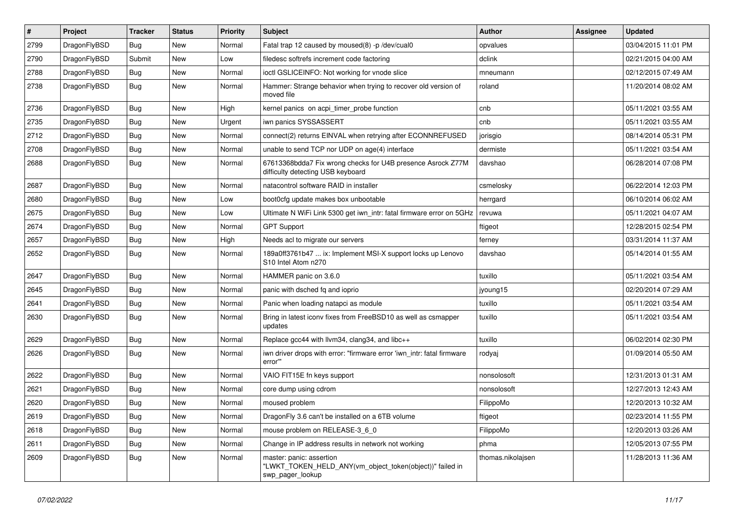| #    | Project      | <b>Tracker</b> | <b>Status</b> | <b>Priority</b> | Subject                                                                                                  | Author            | Assignee | <b>Updated</b>      |
|------|--------------|----------------|---------------|-----------------|----------------------------------------------------------------------------------------------------------|-------------------|----------|---------------------|
| 2799 | DragonFlyBSD | <b>Bug</b>     | <b>New</b>    | Normal          | Fatal trap 12 caused by moused(8) -p /dev/cual0                                                          | opvalues          |          | 03/04/2015 11:01 PM |
| 2790 | DragonFlyBSD | Submit         | <b>New</b>    | Low             | filedesc softrefs increment code factoring                                                               | dclink            |          | 02/21/2015 04:00 AM |
| 2788 | DragonFlyBSD | <b>Bug</b>     | New           | Normal          | ioctl GSLICEINFO: Not working for vnode slice                                                            | mneumann          |          | 02/12/2015 07:49 AM |
| 2738 | DragonFlyBSD | Bug            | <b>New</b>    | Normal          | Hammer: Strange behavior when trying to recover old version of<br>moved file                             | roland            |          | 11/20/2014 08:02 AM |
| 2736 | DragonFlyBSD | <b>Bug</b>     | New           | High            | kernel panics on acpi_timer_probe function                                                               | cnb               |          | 05/11/2021 03:55 AM |
| 2735 | DragonFlyBSD | Bug            | <b>New</b>    | Urgent          | iwn panics SYSSASSERT                                                                                    | cnb               |          | 05/11/2021 03:55 AM |
| 2712 | DragonFlyBSD | <b>Bug</b>     | New           | Normal          | connect(2) returns EINVAL when retrying after ECONNREFUSED                                               | jorisgio          |          | 08/14/2014 05:31 PM |
| 2708 | DragonFlyBSD | Bug            | <b>New</b>    | Normal          | unable to send TCP nor UDP on age(4) interface                                                           | dermiste          |          | 05/11/2021 03:54 AM |
| 2688 | DragonFlyBSD | Bug            | New           | Normal          | 67613368bdda7 Fix wrong checks for U4B presence Asrock Z77M<br>difficulty detecting USB keyboard         | davshao           |          | 06/28/2014 07:08 PM |
| 2687 | DragonFlyBSD | Bug            | <b>New</b>    | Normal          | natacontrol software RAID in installer                                                                   | csmelosky         |          | 06/22/2014 12:03 PM |
| 2680 | DragonFlyBSD | <b>Bug</b>     | <b>New</b>    | Low             | boot0cfg update makes box unbootable                                                                     | herrgard          |          | 06/10/2014 06:02 AM |
| 2675 | DragonFlyBSD | <b>Bug</b>     | New           | Low             | Ultimate N WiFi Link 5300 get iwn_intr: fatal firmware error on 5GHz                                     | revuwa            |          | 05/11/2021 04:07 AM |
| 2674 | DragonFlyBSD | Bug            | <b>New</b>    | Normal          | <b>GPT Support</b>                                                                                       | ftigeot           |          | 12/28/2015 02:54 PM |
| 2657 | DragonFlyBSD | <b>Bug</b>     | New           | High            | Needs acl to migrate our servers                                                                         | ferney            |          | 03/31/2014 11:37 AM |
| 2652 | DragonFlyBSD | Bug            | <b>New</b>    | Normal          | 189a0ff3761b47  ix: Implement MSI-X support locks up Lenovo<br>S10 Intel Atom n270                       | davshao           |          | 05/14/2014 01:55 AM |
| 2647 | DragonFlyBSD | Bug            | <b>New</b>    | Normal          | HAMMER panic on 3.6.0                                                                                    | tuxillo           |          | 05/11/2021 03:54 AM |
| 2645 | DragonFlyBSD | Bug            | <b>New</b>    | Normal          | panic with dsched fq and ioprio                                                                          | jyoung15          |          | 02/20/2014 07:29 AM |
| 2641 | DragonFlyBSD | <b>Bug</b>     | New           | Normal          | Panic when loading natapci as module                                                                     | tuxillo           |          | 05/11/2021 03:54 AM |
| 2630 | DragonFlyBSD | Bug            | <b>New</b>    | Normal          | Bring in latest iconv fixes from FreeBSD10 as well as csmapper<br>updates                                | tuxillo           |          | 05/11/2021 03:54 AM |
| 2629 | DragonFlyBSD | Bug            | New           | Normal          | Replace gcc44 with llvm34, clang34, and libc++                                                           | tuxillo           |          | 06/02/2014 02:30 PM |
| 2626 | DragonFlyBSD | Bug            | <b>New</b>    | Normal          | iwn driver drops with error: "firmware error 'iwn_intr: fatal firmware<br>error'"                        | rodyaj            |          | 01/09/2014 05:50 AM |
| 2622 | DragonFlyBSD | <b>Bug</b>     | <b>New</b>    | Normal          | VAIO FIT15E fn keys support                                                                              | nonsolosoft       |          | 12/31/2013 01:31 AM |
| 2621 | DragonFlyBSD | Bug            | <b>New</b>    | Normal          | core dump using cdrom                                                                                    | nonsolosoft       |          | 12/27/2013 12:43 AM |
| 2620 | DragonFlyBSD | <b>Bug</b>     | <b>New</b>    | Normal          | moused problem                                                                                           | FilippoMo         |          | 12/20/2013 10:32 AM |
| 2619 | DragonFlyBSD | Bug            | New           | Normal          | DragonFly 3.6 can't be installed on a 6TB volume                                                         | ftigeot           |          | 02/23/2014 11:55 PM |
| 2618 | DragonFlyBSD | Bug            | New           | Normal          | mouse problem on RELEASE-3_6_0                                                                           | FilippoMo         |          | 12/20/2013 03:26 AM |
| 2611 | DragonFlyBSD | <b>Bug</b>     | New           | Normal          | Change in IP address results in network not working                                                      | phma              |          | 12/05/2013 07:55 PM |
| 2609 | DragonFlyBSD | Bug            | New           | Normal          | master: panic: assertion<br>"LWKT_TOKEN_HELD_ANY(vm_object_token(object))" failed in<br>swp_pager_lookup | thomas.nikolajsen |          | 11/28/2013 11:36 AM |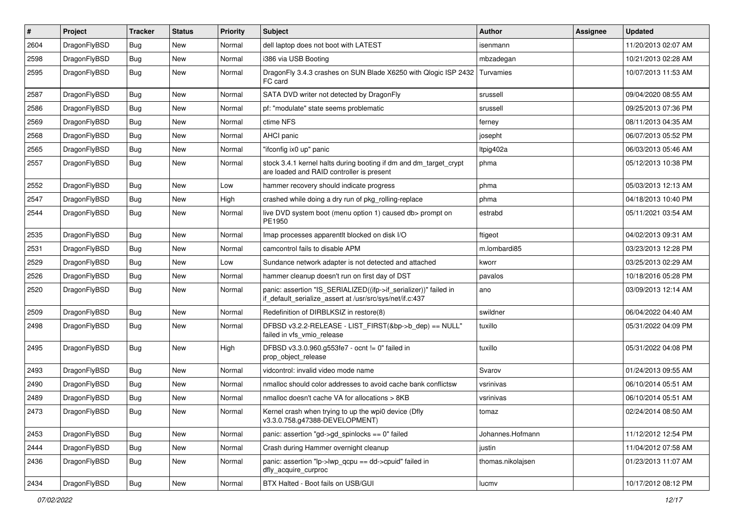| $\sharp$ | Project      | <b>Tracker</b> | <b>Status</b> | <b>Priority</b> | Subject                                                                                                                      | <b>Author</b>     | Assignee | <b>Updated</b>      |
|----------|--------------|----------------|---------------|-----------------|------------------------------------------------------------------------------------------------------------------------------|-------------------|----------|---------------------|
| 2604     | DragonFlyBSD | Bug            | <b>New</b>    | Normal          | dell laptop does not boot with LATEST                                                                                        | isenmann          |          | 11/20/2013 02:07 AM |
| 2598     | DragonFlyBSD | <b>Bug</b>     | New           | Normal          | i386 via USB Booting                                                                                                         | mbzadegan         |          | 10/21/2013 02:28 AM |
| 2595     | DragonFlyBSD | Bug            | New           | Normal          | DragonFly 3.4.3 crashes on SUN Blade X6250 with Qlogic ISP 2432<br>FC card                                                   | Turvamies         |          | 10/07/2013 11:53 AM |
| 2587     | DragonFlyBSD | Bug            | New           | Normal          | SATA DVD writer not detected by DragonFly                                                                                    | srussell          |          | 09/04/2020 08:55 AM |
| 2586     | DragonFlyBSD | Bug            | <b>New</b>    | Normal          | pf: "modulate" state seems problematic                                                                                       | srussell          |          | 09/25/2013 07:36 PM |
| 2569     | DragonFlyBSD | Bug            | <b>New</b>    | Normal          | ctime NFS                                                                                                                    | ferney            |          | 08/11/2013 04:35 AM |
| 2568     | DragonFlyBSD | Bug            | New           | Normal          | AHCI panic                                                                                                                   | josepht           |          | 06/07/2013 05:52 PM |
| 2565     | DragonFlyBSD | Bug            | New           | Normal          | "ifconfig ix0 up" panic                                                                                                      | Itpig402a         |          | 06/03/2013 05:46 AM |
| 2557     | DragonFlyBSD | Bug            | <b>New</b>    | Normal          | stock 3.4.1 kernel halts during booting if dm and dm_target_crypt<br>are loaded and RAID controller is present               | phma              |          | 05/12/2013 10:38 PM |
| 2552     | DragonFlyBSD | Bug            | <b>New</b>    | Low             | hammer recovery should indicate progress                                                                                     | phma              |          | 05/03/2013 12:13 AM |
| 2547     | DragonFlyBSD | Bug            | New           | High            | crashed while doing a dry run of pkg_rolling-replace                                                                         | phma              |          | 04/18/2013 10:40 PM |
| 2544     | DragonFlyBSD | Bug            | <b>New</b>    | Normal          | live DVD system boot (menu option 1) caused db> prompt on<br>PE1950                                                          | estrabd           |          | 05/11/2021 03:54 AM |
| 2535     | DragonFlyBSD | Bug            | <b>New</b>    | Normal          | Imap processes apparentit blocked on disk I/O                                                                                | ftigeot           |          | 04/02/2013 09:31 AM |
| 2531     | DragonFlyBSD | Bug            | New           | Normal          | camcontrol fails to disable APM                                                                                              | m.lombardi85      |          | 03/23/2013 12:28 PM |
| 2529     | DragonFlyBSD | Bug            | <b>New</b>    | Low             | Sundance network adapter is not detected and attached                                                                        | kworr             |          | 03/25/2013 02:29 AM |
| 2526     | DragonFlyBSD | Bug            | New           | Normal          | hammer cleanup doesn't run on first day of DST                                                                               | pavalos           |          | 10/18/2016 05:28 PM |
| 2520     | DragonFlyBSD | Bug            | <b>New</b>    | Normal          | panic: assertion "IS_SERIALIZED((ifp->if_serializer))" failed in<br>if_default_serialize_assert at /usr/src/sys/net/if.c:437 | ano               |          | 03/09/2013 12:14 AM |
| 2509     | DragonFlyBSD | Bug            | <b>New</b>    | Normal          | Redefinition of DIRBLKSIZ in restore(8)                                                                                      | swildner          |          | 06/04/2022 04:40 AM |
| 2498     | DragonFlyBSD | Bug            | New           | Normal          | DFBSD v3.2.2-RELEASE - LIST_FIRST(&bp->b_dep) == NULL"<br>failed in vfs vmio release                                         | tuxillo           |          | 05/31/2022 04:09 PM |
| 2495     | DragonFlyBSD | Bug            | New           | High            | DFBSD v3.3.0.960.g553fe7 - ocnt != 0" failed in<br>prop_object_release                                                       | tuxillo           |          | 05/31/2022 04:08 PM |
| 2493     | DragonFlyBSD | Bug            | <b>New</b>    | Normal          | vidcontrol: invalid video mode name                                                                                          | Svarov            |          | 01/24/2013 09:55 AM |
| 2490     | DragonFlyBSD | Bug            | New           | Normal          | nmalloc should color addresses to avoid cache bank conflictsw                                                                | vsrinivas         |          | 06/10/2014 05:51 AM |
| 2489     | DragonFlyBSD | Bug            | New           | Normal          | nmalloc doesn't cache VA for allocations > 8KB                                                                               | vsrinivas         |          | 06/10/2014 05:51 AM |
| 2473     | DragonFlyBSD | Bug            | <b>New</b>    | Normal          | Kernel crash when trying to up the wpi0 device (Dfly<br>v3.3.0.758.g47388-DEVELOPMENT)                                       | tomaz             |          | 02/24/2014 08:50 AM |
| 2453     | DragonFlyBSD | <b>Bug</b>     | New           | Normal          | panic: assertion "gd->gd_spinlocks == $0$ " failed                                                                           | Johannes.Hofmann  |          | 11/12/2012 12:54 PM |
| 2444     | DragonFlyBSD | Bug            | New           | Normal          | Crash during Hammer overnight cleanup                                                                                        | justin            |          | 11/04/2012 07:58 AM |
| 2436     | DragonFlyBSD | <b>Bug</b>     | New           | Normal          | panic: assertion "lp->lwp_qcpu == dd->cpuid" failed in<br>dfly_acquire_curproc                                               | thomas.nikolajsen |          | 01/23/2013 11:07 AM |
| 2434     | DragonFlyBSD | <b>Bug</b>     | New           | Normal          | BTX Halted - Boot fails on USB/GUI                                                                                           | lucmv             |          | 10/17/2012 08:12 PM |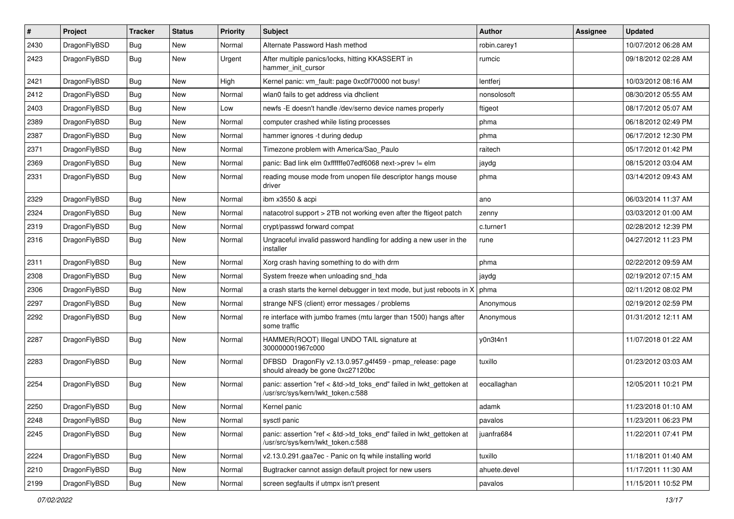| $\pmb{\#}$ | Project      | <b>Tracker</b> | <b>Status</b> | <b>Priority</b> | Subject                                                                                                    | <b>Author</b> | Assignee | <b>Updated</b>      |
|------------|--------------|----------------|---------------|-----------------|------------------------------------------------------------------------------------------------------------|---------------|----------|---------------------|
| 2430       | DragonFlyBSD | Bug            | New           | Normal          | Alternate Password Hash method                                                                             | robin.carey1  |          | 10/07/2012 06:28 AM |
| 2423       | DragonFlyBSD | Bug            | New           | Urgent          | After multiple panics/locks, hitting KKASSERT in<br>hammer init cursor                                     | rumcic        |          | 09/18/2012 02:28 AM |
| 2421       | DragonFlyBSD | Bug            | <b>New</b>    | High            | Kernel panic: vm_fault: page 0xc0f70000 not busy!                                                          | lentferj      |          | 10/03/2012 08:16 AM |
| 2412       | DragonFlyBSD | Bug            | <b>New</b>    | Normal          | wlan0 fails to get address via dhclient                                                                    | nonsolosoft   |          | 08/30/2012 05:55 AM |
| 2403       | DragonFlyBSD | Bug            | New           | Low             | newfs -E doesn't handle /dev/serno device names properly                                                   | ftigeot       |          | 08/17/2012 05:07 AM |
| 2389       | DragonFlyBSD | Bug            | <b>New</b>    | Normal          | computer crashed while listing processes                                                                   | phma          |          | 06/18/2012 02:49 PM |
| 2387       | DragonFlyBSD | Bug            | New           | Normal          | hammer ignores -t during dedup                                                                             | phma          |          | 06/17/2012 12:30 PM |
| 2371       | DragonFlyBSD | Bug            | <b>New</b>    | Normal          | Timezone problem with America/Sao_Paulo                                                                    | raitech       |          | 05/17/2012 01:42 PM |
| 2369       | DragonFlyBSD | Bug            | <b>New</b>    | Normal          | panic: Bad link elm 0xffffffe07edf6068 next->prev != elm                                                   | jaydg         |          | 08/15/2012 03:04 AM |
| 2331       | DragonFlyBSD | Bug            | New           | Normal          | reading mouse mode from unopen file descriptor hangs mouse<br>driver                                       | phma          |          | 03/14/2012 09:43 AM |
| 2329       | DragonFlyBSD | <b>Bug</b>     | <b>New</b>    | Normal          | ibm x3550 & acpi                                                                                           | ano           |          | 06/03/2014 11:37 AM |
| 2324       | DragonFlyBSD | Bug            | <b>New</b>    | Normal          | natacotrol support > 2TB not working even after the ftigeot patch                                          | zenny         |          | 03/03/2012 01:00 AM |
| 2319       | DragonFlyBSD | Bug            | <b>New</b>    | Normal          | crypt/passwd forward compat                                                                                | c.turner1     |          | 02/28/2012 12:39 PM |
| 2316       | DragonFlyBSD | Bug            | New           | Normal          | Ungraceful invalid password handling for adding a new user in the<br>installer                             | rune          |          | 04/27/2012 11:23 PM |
| 2311       | DragonFlyBSD | Bug            | <b>New</b>    | Normal          | Xorg crash having something to do with drm                                                                 | phma          |          | 02/22/2012 09:59 AM |
| 2308       | DragonFlyBSD | Bug            | <b>New</b>    | Normal          | System freeze when unloading snd hda                                                                       | jaydg         |          | 02/19/2012 07:15 AM |
| 2306       | DragonFlyBSD | Bug            | <b>New</b>    | Normal          | a crash starts the kernel debugger in text mode, but just reboots in $X \mid p$ hma                        |               |          | 02/11/2012 08:02 PM |
| 2297       | DragonFlyBSD | Bug            | New           | Normal          | strange NFS (client) error messages / problems                                                             | Anonymous     |          | 02/19/2012 02:59 PM |
| 2292       | DragonFlyBSD | Bug            | <b>New</b>    | Normal          | re interface with jumbo frames (mtu larger than 1500) hangs after<br>some traffic                          | Anonymous     |          | 01/31/2012 12:11 AM |
| 2287       | DragonFlyBSD | <b>Bug</b>     | <b>New</b>    | Normal          | HAMMER(ROOT) Illegal UNDO TAIL signature at<br>300000001967c000                                            | y0n3t4n1      |          | 11/07/2018 01:22 AM |
| 2283       | DragonFlyBSD | <b>Bug</b>     | <b>New</b>    | Normal          | DFBSD DragonFly v2.13.0.957.g4f459 - pmap_release: page<br>should already be gone 0xc27120bc               | tuxillo       |          | 01/23/2012 03:03 AM |
| 2254       | DragonFlyBSD | Bug            | New           | Normal          | panic: assertion "ref < &td->td_toks_end" failed in lwkt_gettoken at<br>/usr/src/sys/kern/lwkt_token.c:588 | eocallaghan   |          | 12/05/2011 10:21 PM |
| 2250       | DragonFlyBSD | Bug            | New           | Normal          | Kernel panic                                                                                               | adamk         |          | 11/23/2018 01:10 AM |
| 2248       | DragonFlyBSD | <b>Bug</b>     | New           | Normal          | sysctl panic                                                                                               | pavalos       |          | 11/23/2011 06:23 PM |
| 2245       | DragonFlyBSD | <b>Bug</b>     | New           | Normal          | panic: assertion "ref < &td->td_toks_end" failed in lwkt_gettoken at<br>/usr/src/sys/kern/lwkt_token.c:588 | juanfra684    |          | 11/22/2011 07:41 PM |
| 2224       | DragonFlyBSD | <b>Bug</b>     | New           | Normal          | v2.13.0.291.gaa7ec - Panic on fq while installing world                                                    | tuxillo       |          | 11/18/2011 01:40 AM |
| 2210       | DragonFlyBSD | Bug            | New           | Normal          | Bugtracker cannot assign default project for new users                                                     | ahuete.devel  |          | 11/17/2011 11:30 AM |
| 2199       | DragonFlyBSD | Bug            | New           | Normal          | screen segfaults if utmpx isn't present                                                                    | pavalos       |          | 11/15/2011 10:52 PM |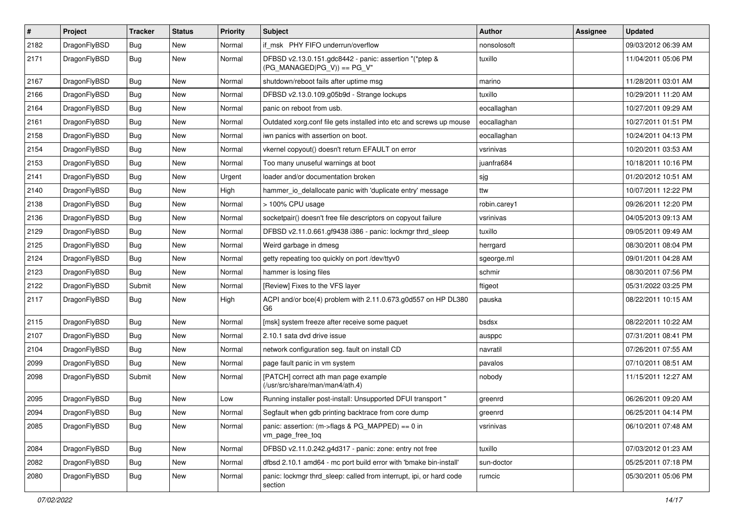| $\sharp$ | Project      | <b>Tracker</b> | <b>Status</b> | <b>Priority</b> | Subject                                                                                | <b>Author</b> | Assignee | <b>Updated</b>      |
|----------|--------------|----------------|---------------|-----------------|----------------------------------------------------------------------------------------|---------------|----------|---------------------|
| 2182     | DragonFlyBSD | Bug            | New           | Normal          | if msk PHY FIFO underrun/overflow                                                      | nonsolosoft   |          | 09/03/2012 06:39 AM |
| 2171     | DragonFlyBSD | Bug            | New           | Normal          | DFBSD v2.13.0.151.gdc8442 - panic: assertion "(*ptep &<br>$(PG_MANAGED PG_V)$ == PG_V" | tuxillo       |          | 11/04/2011 05:06 PM |
| 2167     | DragonFlyBSD | Bug            | New           | Normal          | shutdown/reboot fails after uptime msg                                                 | marino        |          | 11/28/2011 03:01 AM |
| 2166     | DragonFlyBSD | Bug            | New           | Normal          | DFBSD v2.13.0.109.g05b9d - Strange lockups                                             | tuxillo       |          | 10/29/2011 11:20 AM |
| 2164     | DragonFlyBSD | Bug            | New           | Normal          | panic on reboot from usb.                                                              | eocallaghan   |          | 10/27/2011 09:29 AM |
| 2161     | DragonFlyBSD | Bug            | New           | Normal          | Outdated xorg.conf file gets installed into etc and screws up mouse                    | eocallaghan   |          | 10/27/2011 01:51 PM |
| 2158     | DragonFlyBSD | Bug            | New           | Normal          | iwn panics with assertion on boot.                                                     | eocallaghan   |          | 10/24/2011 04:13 PM |
| 2154     | DragonFlyBSD | Bug            | New           | Normal          | vkernel copyout() doesn't return EFAULT on error                                       | vsrinivas     |          | 10/20/2011 03:53 AM |
| 2153     | DragonFlyBSD | Bug            | <b>New</b>    | Normal          | Too many unuseful warnings at boot                                                     | juanfra684    |          | 10/18/2011 10:16 PM |
| 2141     | DragonFlyBSD | <b>Bug</b>     | New           | Urgent          | loader and/or documentation broken                                                     | sjg           |          | 01/20/2012 10:51 AM |
| 2140     | DragonFlyBSD | <b>Bug</b>     | New           | High            | hammer_io_delallocate panic with 'duplicate entry' message                             | ttw           |          | 10/07/2011 12:22 PM |
| 2138     | DragonFlyBSD | <b>Bug</b>     | New           | Normal          | > 100% CPU usage                                                                       | robin.carey1  |          | 09/26/2011 12:20 PM |
| 2136     | DragonFlyBSD | <b>Bug</b>     | <b>New</b>    | Normal          | socketpair() doesn't free file descriptors on copyout failure                          | vsrinivas     |          | 04/05/2013 09:13 AM |
| 2129     | DragonFlyBSD | <b>Bug</b>     | New           | Normal          | DFBSD v2.11.0.661.gf9438 i386 - panic: lockmgr thrd_sleep                              | tuxillo       |          | 09/05/2011 09:49 AM |
| 2125     | DragonFlyBSD | <b>Bug</b>     | <b>New</b>    | Normal          | Weird garbage in dmesg                                                                 | herrgard      |          | 08/30/2011 08:04 PM |
| 2124     | DragonFlyBSD | <b>Bug</b>     | <b>New</b>    | Normal          | getty repeating too quickly on port /dev/ttyv0                                         | sgeorge.ml    |          | 09/01/2011 04:28 AM |
| 2123     | DragonFlyBSD | <b>Bug</b>     | New           | Normal          | hammer is losing files                                                                 | schmir        |          | 08/30/2011 07:56 PM |
| 2122     | DragonFlyBSD | Submit         | <b>New</b>    | Normal          | [Review] Fixes to the VFS layer                                                        | ftigeot       |          | 05/31/2022 03:25 PM |
| 2117     | DragonFlyBSD | <b>Bug</b>     | New           | High            | ACPI and/or bce(4) problem with 2.11.0.673.g0d557 on HP DL380<br>G <sub>6</sub>        | pauska        |          | 08/22/2011 10:15 AM |
| 2115     | DragonFlyBSD | Bug            | <b>New</b>    | Normal          | [msk] system freeze after receive some paquet                                          | bsdsx         |          | 08/22/2011 10:22 AM |
| 2107     | DragonFlyBSD | Bug            | New           | Normal          | 2.10.1 sata dvd drive issue                                                            | ausppc        |          | 07/31/2011 08:41 PM |
| 2104     | DragonFlyBSD | <b>Bug</b>     | New           | Normal          | network configuration seg. fault on install CD                                         | navratil      |          | 07/26/2011 07:55 AM |
| 2099     | DragonFlyBSD | <b>Bug</b>     | New           | Normal          | page fault panic in vm system                                                          | pavalos       |          | 07/10/2011 08:51 AM |
| 2098     | DragonFlyBSD | Submit         | New           | Normal          | [PATCH] correct ath man page example<br>(/usr/src/share/man/man4/ath.4)                | nobody        |          | 11/15/2011 12:27 AM |
| 2095     | DragonFlyBSD | <b>Bug</b>     | New           | Low             | Running installer post-install: Unsupported DFUI transport "                           | greenrd       |          | 06/26/2011 09:20 AM |
| 2094     | DragonFlyBSD | Bug            | <b>New</b>    | Normal          | Segfault when gdb printing backtrace from core dump                                    | greenrd       |          | 06/25/2011 04:14 PM |
| 2085     | DragonFlyBSD | Bug            | New           | Normal          | panic: assertion: (m->flags & PG_MAPPED) == 0 in<br>vm_page_free_toq                   | vsrinivas     |          | 06/10/2011 07:48 AM |
| 2084     | DragonFlyBSD | Bug            | <b>New</b>    | Normal          | DFBSD v2.11.0.242.g4d317 - panic: zone: entry not free                                 | tuxillo       |          | 07/03/2012 01:23 AM |
| 2082     | DragonFlyBSD | <b>Bug</b>     | New           | Normal          | dfbsd 2.10.1 amd64 - mc port build error with 'bmake bin-install'                      | sun-doctor    |          | 05/25/2011 07:18 PM |
| 2080     | DragonFlyBSD | Bug            | New           | Normal          | panic: lockmgr thrd sleep: called from interrupt, ipi, or hard code<br>section         | rumcic        |          | 05/30/2011 05:06 PM |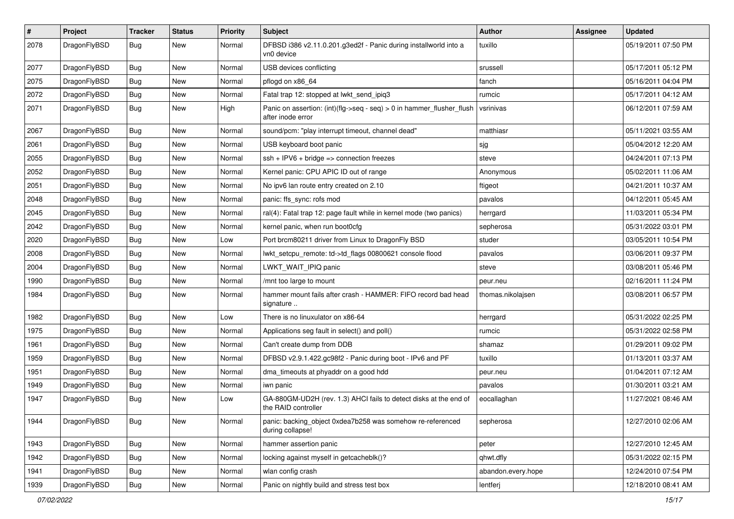| $\sharp$ | Project      | <b>Tracker</b> | <b>Status</b> | <b>Priority</b> | Subject                                                                                    | Author             | Assignee | <b>Updated</b>      |
|----------|--------------|----------------|---------------|-----------------|--------------------------------------------------------------------------------------------|--------------------|----------|---------------------|
| 2078     | DragonFlyBSD | Bug            | New           | Normal          | DFBSD i386 v2.11.0.201.g3ed2f - Panic during installworld into a<br>vn0 device             | tuxillo            |          | 05/19/2011 07:50 PM |
| 2077     | DragonFlyBSD | Bug            | <b>New</b>    | Normal          | USB devices conflicting                                                                    | srussell           |          | 05/17/2011 05:12 PM |
| 2075     | DragonFlyBSD | <b>Bug</b>     | New           | Normal          | pflogd on x86_64                                                                           | fanch              |          | 05/16/2011 04:04 PM |
| 2072     | DragonFlyBSD | Bug            | <b>New</b>    | Normal          | Fatal trap 12: stopped at lwkt_send_ipiq3                                                  | rumcic             |          | 05/17/2011 04:12 AM |
| 2071     | DragonFlyBSD | <b>Bug</b>     | New           | High            | Panic on assertion: (int)(flg->seq - seq) > 0 in hammer_flusher_flush<br>after inode error | vsrinivas          |          | 06/12/2011 07:59 AM |
| 2067     | DragonFlyBSD | Bug            | <b>New</b>    | Normal          | sound/pcm: "play interrupt timeout, channel dead"                                          | matthiasr          |          | 05/11/2021 03:55 AM |
| 2061     | DragonFlyBSD | <b>Bug</b>     | New           | Normal          | USB keyboard boot panic                                                                    | sjg                |          | 05/04/2012 12:20 AM |
| 2055     | DragonFlyBSD | <b>Bug</b>     | <b>New</b>    | Normal          | ssh + IPV6 + bridge => connection freezes                                                  | steve              |          | 04/24/2011 07:13 PM |
| 2052     | DragonFlyBSD | <b>Bug</b>     | <b>New</b>    | Normal          | Kernel panic: CPU APIC ID out of range                                                     | Anonymous          |          | 05/02/2011 11:06 AM |
| 2051     | DragonFlyBSD | <b>Bug</b>     | New           | Normal          | No ipv6 lan route entry created on 2.10                                                    | ftigeot            |          | 04/21/2011 10:37 AM |
| 2048     | DragonFlyBSD | <b>Bug</b>     | <b>New</b>    | Normal          | panic: ffs_sync: rofs mod                                                                  | pavalos            |          | 04/12/2011 05:45 AM |
| 2045     | DragonFlyBSD | <b>Bug</b>     | New           | Normal          | ral(4): Fatal trap 12: page fault while in kernel mode (two panics)                        | herrgard           |          | 11/03/2011 05:34 PM |
| 2042     | DragonFlyBSD | <b>Bug</b>     | <b>New</b>    | Normal          | kernel panic, when run boot0cfg                                                            | sepherosa          |          | 05/31/2022 03:01 PM |
| 2020     | DragonFlyBSD | <b>Bug</b>     | New           | Low             | Port brcm80211 driver from Linux to DragonFly BSD                                          | studer             |          | 03/05/2011 10:54 PM |
| 2008     | DragonFlyBSD | <b>Bug</b>     | <b>New</b>    | Normal          | lwkt setcpu remote: td->td flags 00800621 console flood                                    | pavalos            |          | 03/06/2011 09:37 PM |
| 2004     | DragonFlyBSD | Bug            | <b>New</b>    | Normal          | LWKT_WAIT_IPIQ panic                                                                       | steve              |          | 03/08/2011 05:46 PM |
| 1990     | DragonFlyBSD | <b>Bug</b>     | New           | Normal          | /mnt too large to mount                                                                    | peur.neu           |          | 02/16/2011 11:24 PM |
| 1984     | DragonFlyBSD | Bug            | New           | Normal          | hammer mount fails after crash - HAMMER: FIFO record bad head<br>signature                 | thomas.nikolajsen  |          | 03/08/2011 06:57 PM |
| 1982     | DragonFlyBSD | Bug            | <b>New</b>    | Low             | There is no linuxulator on x86-64                                                          | herrgard           |          | 05/31/2022 02:25 PM |
| 1975     | DragonFlyBSD | Bug            | <b>New</b>    | Normal          | Applications seg fault in select() and poll()                                              | rumcic             |          | 05/31/2022 02:58 PM |
| 1961     | DragonFlyBSD | <b>Bug</b>     | New           | Normal          | Can't create dump from DDB                                                                 | shamaz             |          | 01/29/2011 09:02 PM |
| 1959     | DragonFlyBSD | <b>Bug</b>     | New           | Normal          | DFBSD v2.9.1.422.gc98f2 - Panic during boot - IPv6 and PF                                  | tuxillo            |          | 01/13/2011 03:37 AM |
| 1951     | DragonFlyBSD | <b>Bug</b>     | <b>New</b>    | Normal          | dma_timeouts at phyaddr on a good hdd                                                      | peur.neu           |          | 01/04/2011 07:12 AM |
| 1949     | DragonFlyBSD | <b>Bug</b>     | New           | Normal          | iwn panic                                                                                  | pavalos            |          | 01/30/2011 03:21 AM |
| 1947     | DragonFlyBSD | <b>Bug</b>     | <b>New</b>    | Low             | GA-880GM-UD2H (rev. 1.3) AHCI fails to detect disks at the end of<br>the RAID controller   | eocallaghan        |          | 11/27/2021 08:46 AM |
| 1944     | DragonFlyBSD | Bug            | New           | Normal          | panic: backing_object 0xdea7b258 was somehow re-referenced<br>during collapse!             | sepherosa          |          | 12/27/2010 02:06 AM |
| 1943     | DragonFlyBSD | <b>Bug</b>     | New           | Normal          | hammer assertion panic                                                                     | peter              |          | 12/27/2010 12:45 AM |
| 1942     | DragonFlyBSD | <b>Bug</b>     | New           | Normal          | locking against myself in getcacheblk()?                                                   | qhwt.dfly          |          | 05/31/2022 02:15 PM |
| 1941     | DragonFlyBSD | <b>Bug</b>     | New           | Normal          | wlan config crash                                                                          | abandon.every.hope |          | 12/24/2010 07:54 PM |
| 1939     | DragonFlyBSD | <b>Bug</b>     | New           | Normal          | Panic on nightly build and stress test box                                                 | lentferj           |          | 12/18/2010 08:41 AM |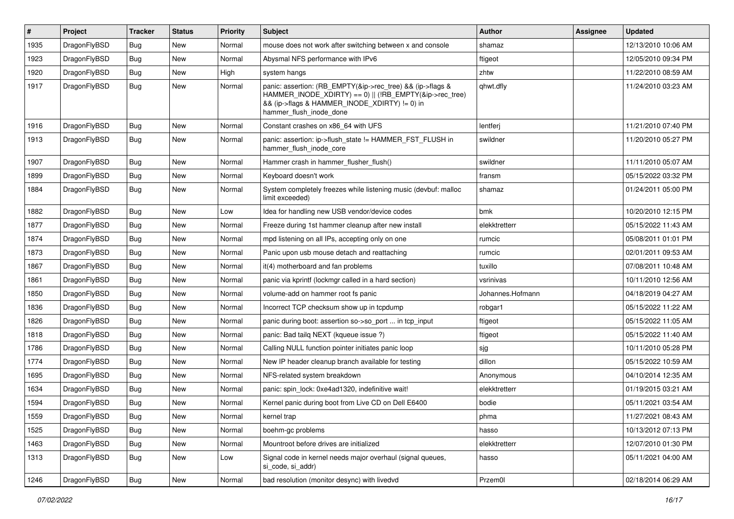| $\pmb{\#}$ | Project      | <b>Tracker</b> | <b>Status</b> | <b>Priority</b> | <b>Subject</b>                                                                                                                                                                                    | <b>Author</b>    | Assignee | <b>Updated</b>      |
|------------|--------------|----------------|---------------|-----------------|---------------------------------------------------------------------------------------------------------------------------------------------------------------------------------------------------|------------------|----------|---------------------|
| 1935       | DragonFlyBSD | Bug            | <b>New</b>    | Normal          | mouse does not work after switching between x and console                                                                                                                                         | shamaz           |          | 12/13/2010 10:06 AM |
| 1923       | DragonFlyBSD | Bug            | <b>New</b>    | Normal          | Abysmal NFS performance with IPv6                                                                                                                                                                 | ftigeot          |          | 12/05/2010 09:34 PM |
| 1920       | DragonFlyBSD | <b>Bug</b>     | <b>New</b>    | High            | system hangs                                                                                                                                                                                      | zhtw             |          | 11/22/2010 08:59 AM |
| 1917       | DragonFlyBSD | Bug            | <b>New</b>    | Normal          | panic: assertion: (RB_EMPTY(&ip->rec_tree) && (ip->flags &<br>HAMMER_INODE_XDIRTY) == 0)    (!RB_EMPTY(&ip->rec_tree)<br>&& (ip->flags & HAMMER_INODE_XDIRTY) != 0) in<br>hammer_flush_inode_done | qhwt.dfly        |          | 11/24/2010 03:23 AM |
| 1916       | DragonFlyBSD | <b>Bug</b>     | <b>New</b>    | Normal          | Constant crashes on x86_64 with UFS                                                                                                                                                               | lentferj         |          | 11/21/2010 07:40 PM |
| 1913       | DragonFlyBSD | Bug            | <b>New</b>    | Normal          | panic: assertion: ip->flush_state != HAMMER_FST_FLUSH in<br>hammer_flush_inode_core                                                                                                               | swildner         |          | 11/20/2010 05:27 PM |
| 1907       | DragonFlyBSD | <b>Bug</b>     | <b>New</b>    | Normal          | Hammer crash in hammer_flusher_flush()                                                                                                                                                            | swildner         |          | 11/11/2010 05:07 AM |
| 1899       | DragonFlyBSD | Bug            | <b>New</b>    | Normal          | Keyboard doesn't work                                                                                                                                                                             | fransm           |          | 05/15/2022 03:32 PM |
| 1884       | DragonFlyBSD | Bug            | <b>New</b>    | Normal          | System completely freezes while listening music (devbuf: malloc<br>limit exceeded)                                                                                                                | shamaz           |          | 01/24/2011 05:00 PM |
| 1882       | DragonFlyBSD | Bug            | <b>New</b>    | Low             | Idea for handling new USB vendor/device codes                                                                                                                                                     | bmk              |          | 10/20/2010 12:15 PM |
| 1877       | DragonFlyBSD | <b>Bug</b>     | <b>New</b>    | Normal          | Freeze during 1st hammer cleanup after new install                                                                                                                                                | elekktretterr    |          | 05/15/2022 11:43 AM |
| 1874       | DragonFlyBSD | <b>Bug</b>     | <b>New</b>    | Normal          | mpd listening on all IPs, accepting only on one                                                                                                                                                   | rumcic           |          | 05/08/2011 01:01 PM |
| 1873       | DragonFlyBSD | <b>Bug</b>     | <b>New</b>    | Normal          | Panic upon usb mouse detach and reattaching                                                                                                                                                       | rumcic           |          | 02/01/2011 09:53 AM |
| 1867       | DragonFlyBSD | <b>Bug</b>     | <b>New</b>    | Normal          | it(4) motherboard and fan problems                                                                                                                                                                | tuxillo          |          | 07/08/2011 10:48 AM |
| 1861       | DragonFlyBSD | Bug            | New           | Normal          | panic via kprintf (lockmgr called in a hard section)                                                                                                                                              | vsrinivas        |          | 10/11/2010 12:56 AM |
| 1850       | DragonFlyBSD | <b>Bug</b>     | <b>New</b>    | Normal          | volume-add on hammer root fs panic                                                                                                                                                                | Johannes.Hofmann |          | 04/18/2019 04:27 AM |
| 1836       | DragonFlyBSD | <b>Bug</b>     | <b>New</b>    | Normal          | Incorrect TCP checksum show up in tcpdump                                                                                                                                                         | robgar1          |          | 05/15/2022 11:22 AM |
| 1826       | DragonFlyBSD | Bug            | <b>New</b>    | Normal          | panic during boot: assertion so->so_port  in tcp_input                                                                                                                                            | ftigeot          |          | 05/15/2022 11:05 AM |
| 1818       | DragonFlyBSD | <b>Bug</b>     | <b>New</b>    | Normal          | panic: Bad tailq NEXT (kqueue issue ?)                                                                                                                                                            | ftigeot          |          | 05/15/2022 11:40 AM |
| 1786       | DragonFlyBSD | Bug            | <b>New</b>    | Normal          | Calling NULL function pointer initiates panic loop                                                                                                                                                | sjg              |          | 10/11/2010 05:28 PM |
| 1774       | DragonFlyBSD | Bug            | <b>New</b>    | Normal          | New IP header cleanup branch available for testing                                                                                                                                                | dillon           |          | 05/15/2022 10:59 AM |
| 1695       | DragonFlyBSD | <b>Bug</b>     | <b>New</b>    | Normal          | NFS-related system breakdown                                                                                                                                                                      | Anonymous        |          | 04/10/2014 12:35 AM |
| 1634       | DragonFlyBSD | Bug            | <b>New</b>    | Normal          | panic: spin_lock: 0xe4ad1320, indefinitive wait!                                                                                                                                                  | elekktretterr    |          | 01/19/2015 03:21 AM |
| 1594       | DragonFlyBSD | <b>Bug</b>     | New           | Normal          | Kernel panic during boot from Live CD on Dell E6400                                                                                                                                               | bodie            |          | 05/11/2021 03:54 AM |
| 1559       | DragonFlyBSD | Bug            | New           | Normal          | kernel trap                                                                                                                                                                                       | phma             |          | 11/27/2021 08:43 AM |
| 1525       | DragonFlyBSD | <b>Bug</b>     | New           | Normal          | boehm-gc problems                                                                                                                                                                                 | hasso            |          | 10/13/2012 07:13 PM |
| 1463       | DragonFlyBSD | <b>Bug</b>     | New           | Normal          | Mountroot before drives are initialized                                                                                                                                                           | elekktretterr    |          | 12/07/2010 01:30 PM |
| 1313       | DragonFlyBSD | Bug            | New           | Low             | Signal code in kernel needs major overhaul (signal queues,<br>si_code, si_addr)                                                                                                                   | hasso            |          | 05/11/2021 04:00 AM |
| 1246       | DragonFlyBSD | Bug            | New           | Normal          | bad resolution (monitor desync) with livedvd                                                                                                                                                      | Przem0l          |          | 02/18/2014 06:29 AM |